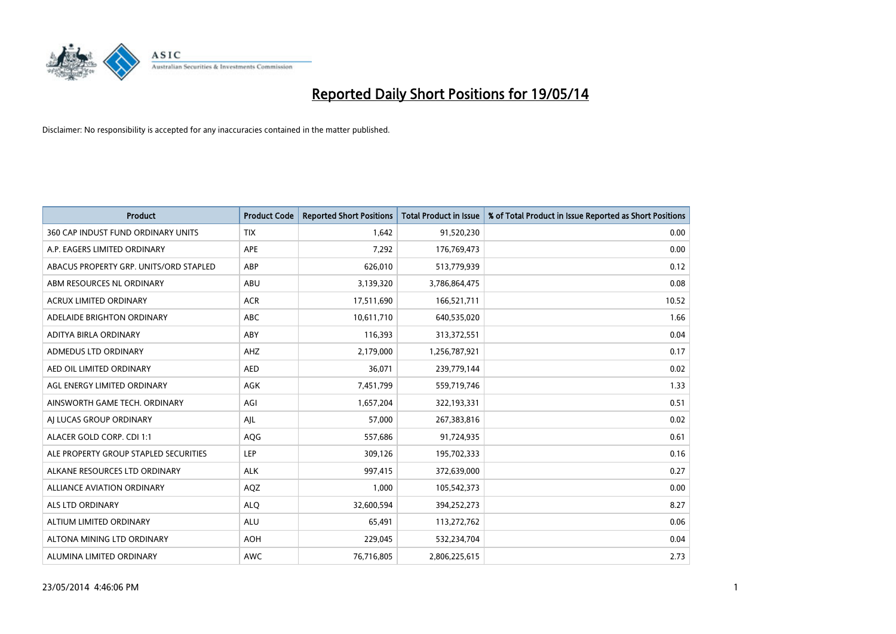

| <b>Product</b>                         | <b>Product Code</b> | <b>Reported Short Positions</b> | Total Product in Issue | % of Total Product in Issue Reported as Short Positions |
|----------------------------------------|---------------------|---------------------------------|------------------------|---------------------------------------------------------|
| 360 CAP INDUST FUND ORDINARY UNITS     | <b>TIX</b>          | 1.642                           | 91,520,230             | 0.00                                                    |
| A.P. EAGERS LIMITED ORDINARY           | <b>APE</b>          | 7,292                           | 176,769,473            | 0.00                                                    |
| ABACUS PROPERTY GRP. UNITS/ORD STAPLED | ABP                 | 626,010                         | 513,779,939            | 0.12                                                    |
| ABM RESOURCES NL ORDINARY              | ABU                 | 3,139,320                       | 3,786,864,475          | 0.08                                                    |
| <b>ACRUX LIMITED ORDINARY</b>          | <b>ACR</b>          | 17,511,690                      | 166,521,711            | 10.52                                                   |
| ADELAIDE BRIGHTON ORDINARY             | ABC                 | 10,611,710                      | 640,535,020            | 1.66                                                    |
| ADITYA BIRLA ORDINARY                  | <b>ABY</b>          | 116,393                         | 313,372,551            | 0.04                                                    |
| ADMEDUS LTD ORDINARY                   | AHZ                 | 2,179,000                       | 1,256,787,921          | 0.17                                                    |
| AED OIL LIMITED ORDINARY               | <b>AED</b>          | 36,071                          | 239,779,144            | 0.02                                                    |
| AGL ENERGY LIMITED ORDINARY            | <b>AGK</b>          | 7,451,799                       | 559,719,746            | 1.33                                                    |
| AINSWORTH GAME TECH. ORDINARY          | AGI                 | 1,657,204                       | 322,193,331            | 0.51                                                    |
| AI LUCAS GROUP ORDINARY                | AJL                 | 57,000                          | 267,383,816            | 0.02                                                    |
| ALACER GOLD CORP. CDI 1:1              | AQG                 | 557,686                         | 91,724,935             | 0.61                                                    |
| ALE PROPERTY GROUP STAPLED SECURITIES  | <b>LEP</b>          | 309,126                         | 195,702,333            | 0.16                                                    |
| ALKANE RESOURCES LTD ORDINARY          | <b>ALK</b>          | 997,415                         | 372,639,000            | 0.27                                                    |
| <b>ALLIANCE AVIATION ORDINARY</b>      | AQZ                 | 1,000                           | 105,542,373            | 0.00                                                    |
| ALS LTD ORDINARY                       | <b>ALQ</b>          | 32,600,594                      | 394,252,273            | 8.27                                                    |
| ALTIUM LIMITED ORDINARY                | ALU                 | 65,491                          | 113,272,762            | 0.06                                                    |
| ALTONA MINING LTD ORDINARY             | <b>AOH</b>          | 229,045                         | 532,234,704            | 0.04                                                    |
| ALUMINA LIMITED ORDINARY               | <b>AWC</b>          | 76,716,805                      | 2,806,225,615          | 2.73                                                    |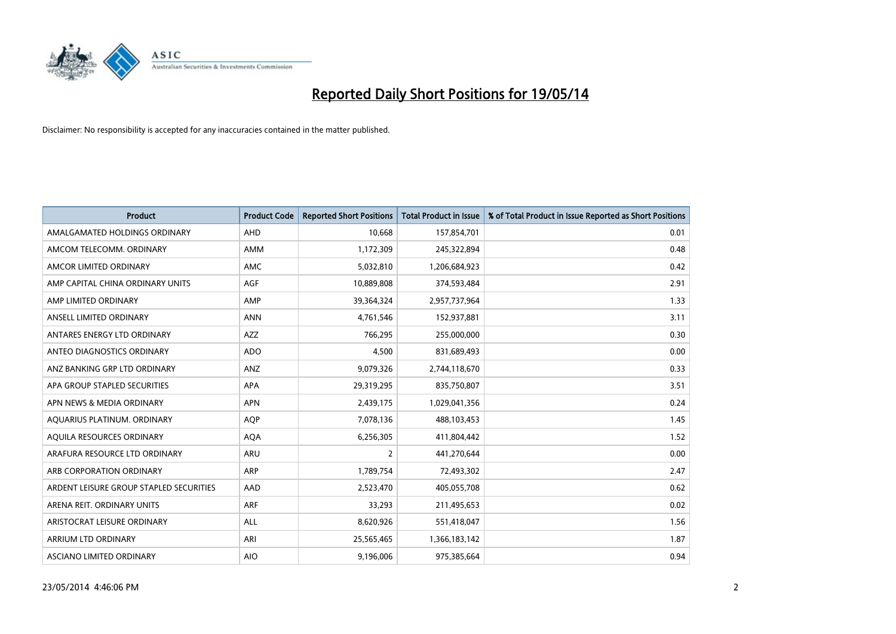

| <b>Product</b>                          | <b>Product Code</b> | <b>Reported Short Positions</b> | <b>Total Product in Issue</b> | % of Total Product in Issue Reported as Short Positions |
|-----------------------------------------|---------------------|---------------------------------|-------------------------------|---------------------------------------------------------|
| AMALGAMATED HOLDINGS ORDINARY           | AHD                 | 10,668                          | 157,854,701                   | 0.01                                                    |
| AMCOM TELECOMM. ORDINARY                | AMM                 | 1,172,309                       | 245,322,894                   | 0.48                                                    |
| AMCOR LIMITED ORDINARY                  | <b>AMC</b>          | 5,032,810                       | 1,206,684,923                 | 0.42                                                    |
| AMP CAPITAL CHINA ORDINARY UNITS        | <b>AGF</b>          | 10,889,808                      | 374,593,484                   | 2.91                                                    |
| AMP LIMITED ORDINARY                    | AMP                 | 39,364,324                      | 2,957,737,964                 | 1.33                                                    |
| ANSELL LIMITED ORDINARY                 | <b>ANN</b>          | 4,761,546                       | 152,937,881                   | 3.11                                                    |
| ANTARES ENERGY LTD ORDINARY             | <b>AZZ</b>          | 766,295                         | 255,000,000                   | 0.30                                                    |
| ANTEO DIAGNOSTICS ORDINARY              | <b>ADO</b>          | 4,500                           | 831,689,493                   | 0.00                                                    |
| ANZ BANKING GRP LTD ORDINARY            | <b>ANZ</b>          | 9,079,326                       | 2,744,118,670                 | 0.33                                                    |
| APA GROUP STAPLED SECURITIES            | <b>APA</b>          | 29,319,295                      | 835,750,807                   | 3.51                                                    |
| APN NEWS & MEDIA ORDINARY               | <b>APN</b>          | 2,439,175                       | 1,029,041,356                 | 0.24                                                    |
| AQUARIUS PLATINUM. ORDINARY             | <b>AQP</b>          | 7,078,136                       | 488,103,453                   | 1.45                                                    |
| AQUILA RESOURCES ORDINARY               | <b>AQA</b>          | 6,256,305                       | 411,804,442                   | 1.52                                                    |
| ARAFURA RESOURCE LTD ORDINARY           | ARU                 | $\overline{2}$                  | 441,270,644                   | 0.00                                                    |
| ARB CORPORATION ORDINARY                | <b>ARP</b>          | 1,789,754                       | 72,493,302                    | 2.47                                                    |
| ARDENT LEISURE GROUP STAPLED SECURITIES | AAD                 | 2,523,470                       | 405,055,708                   | 0.62                                                    |
| ARENA REIT. ORDINARY UNITS              | ARF                 | 33,293                          | 211,495,653                   | 0.02                                                    |
| ARISTOCRAT LEISURE ORDINARY             | <b>ALL</b>          | 8,620,926                       | 551,418,047                   | 1.56                                                    |
| ARRIUM LTD ORDINARY                     | ARI                 | 25,565,465                      | 1,366,183,142                 | 1.87                                                    |
| ASCIANO LIMITED ORDINARY                | <b>AIO</b>          | 9,196,006                       | 975,385,664                   | 0.94                                                    |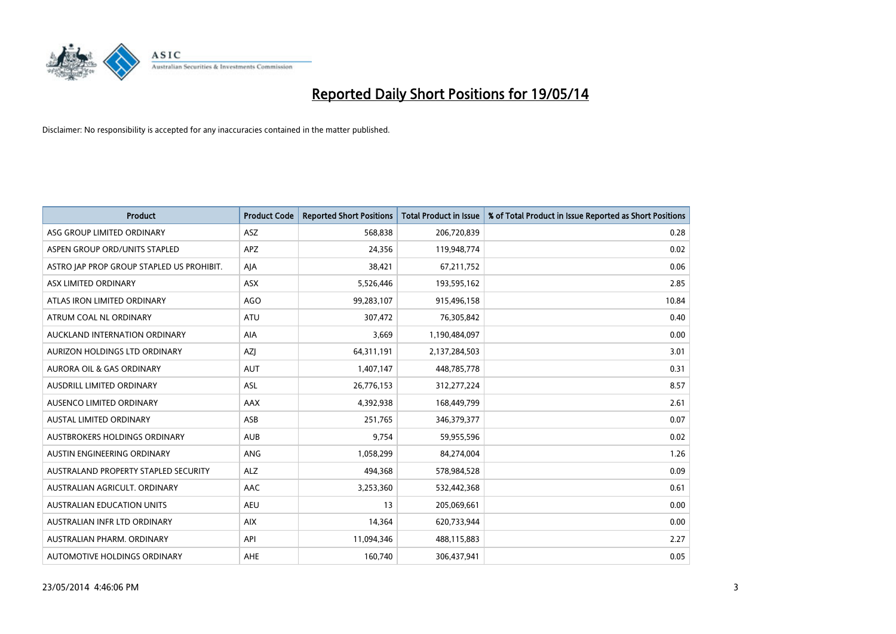

| <b>Product</b>                            | <b>Product Code</b> | <b>Reported Short Positions</b> | <b>Total Product in Issue</b> | % of Total Product in Issue Reported as Short Positions |
|-------------------------------------------|---------------------|---------------------------------|-------------------------------|---------------------------------------------------------|
| ASG GROUP LIMITED ORDINARY                | ASZ                 | 568,838                         | 206,720,839                   | 0.28                                                    |
| ASPEN GROUP ORD/UNITS STAPLED             | APZ                 | 24,356                          | 119,948,774                   | 0.02                                                    |
| ASTRO JAP PROP GROUP STAPLED US PROHIBIT. | AJA                 | 38,421                          | 67,211,752                    | 0.06                                                    |
| ASX LIMITED ORDINARY                      | ASX                 | 5,526,446                       | 193,595,162                   | 2.85                                                    |
| ATLAS IRON LIMITED ORDINARY               | <b>AGO</b>          | 99,283,107                      | 915,496,158                   | 10.84                                                   |
| ATRUM COAL NL ORDINARY                    | <b>ATU</b>          | 307,472                         | 76,305,842                    | 0.40                                                    |
| AUCKLAND INTERNATION ORDINARY             | AIA                 | 3,669                           | 1,190,484,097                 | 0.00                                                    |
| AURIZON HOLDINGS LTD ORDINARY             | AZJ                 | 64,311,191                      | 2,137,284,503                 | 3.01                                                    |
| <b>AURORA OIL &amp; GAS ORDINARY</b>      | <b>AUT</b>          | 1,407,147                       | 448,785,778                   | 0.31                                                    |
| AUSDRILL LIMITED ORDINARY                 | <b>ASL</b>          | 26,776,153                      | 312,277,224                   | 8.57                                                    |
| AUSENCO LIMITED ORDINARY                  | AAX                 | 4,392,938                       | 168,449,799                   | 2.61                                                    |
| AUSTAL LIMITED ORDINARY                   | ASB                 | 251,765                         | 346,379,377                   | 0.07                                                    |
| <b>AUSTBROKERS HOLDINGS ORDINARY</b>      | <b>AUB</b>          | 9,754                           | 59,955,596                    | 0.02                                                    |
| AUSTIN ENGINEERING ORDINARY               | <b>ANG</b>          | 1,058,299                       | 84,274,004                    | 1.26                                                    |
| AUSTRALAND PROPERTY STAPLED SECURITY      | <b>ALZ</b>          | 494,368                         | 578,984,528                   | 0.09                                                    |
| AUSTRALIAN AGRICULT. ORDINARY             | AAC                 | 3,253,360                       | 532,442,368                   | 0.61                                                    |
| <b>AUSTRALIAN EDUCATION UNITS</b>         | <b>AEU</b>          | 13                              | 205,069,661                   | 0.00                                                    |
| AUSTRALIAN INFR LTD ORDINARY              | <b>AIX</b>          | 14,364                          | 620,733,944                   | 0.00                                                    |
| AUSTRALIAN PHARM, ORDINARY                | API                 | 11,094,346                      | 488,115,883                   | 2.27                                                    |
| AUTOMOTIVE HOLDINGS ORDINARY              | <b>AHE</b>          | 160,740                         | 306,437,941                   | 0.05                                                    |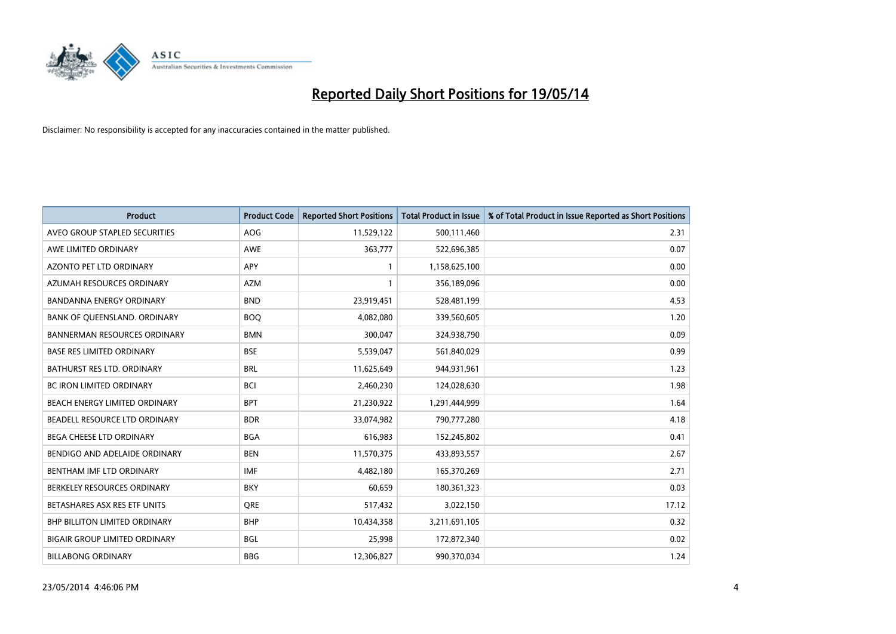

| <b>Product</b>                       | <b>Product Code</b> | <b>Reported Short Positions</b> | <b>Total Product in Issue</b> | % of Total Product in Issue Reported as Short Positions |
|--------------------------------------|---------------------|---------------------------------|-------------------------------|---------------------------------------------------------|
| AVEO GROUP STAPLED SECURITIES        | <b>AOG</b>          | 11,529,122                      | 500,111,460                   | 2.31                                                    |
| AWE LIMITED ORDINARY                 | AWE                 | 363,777                         | 522,696,385                   | 0.07                                                    |
| AZONTO PET LTD ORDINARY              | APY                 | $\mathbf{1}$                    | 1,158,625,100                 | 0.00                                                    |
| AZUMAH RESOURCES ORDINARY            | <b>AZM</b>          | $\mathbf{1}$                    | 356,189,096                   | 0.00                                                    |
| <b>BANDANNA ENERGY ORDINARY</b>      | <b>BND</b>          | 23,919,451                      | 528,481,199                   | 4.53                                                    |
| BANK OF QUEENSLAND. ORDINARY         | <b>BOO</b>          | 4,082,080                       | 339,560,605                   | 1.20                                                    |
| <b>BANNERMAN RESOURCES ORDINARY</b>  | <b>BMN</b>          | 300,047                         | 324,938,790                   | 0.09                                                    |
| <b>BASE RES LIMITED ORDINARY</b>     | <b>BSE</b>          | 5,539,047                       | 561,840,029                   | 0.99                                                    |
| BATHURST RES LTD. ORDINARY           | <b>BRL</b>          | 11,625,649                      | 944,931,961                   | 1.23                                                    |
| <b>BC IRON LIMITED ORDINARY</b>      | <b>BCI</b>          | 2,460,230                       | 124,028,630                   | 1.98                                                    |
| BEACH ENERGY LIMITED ORDINARY        | <b>BPT</b>          | 21,230,922                      | 1,291,444,999                 | 1.64                                                    |
| BEADELL RESOURCE LTD ORDINARY        | <b>BDR</b>          | 33,074,982                      | 790,777,280                   | 4.18                                                    |
| BEGA CHEESE LTD ORDINARY             | <b>BGA</b>          | 616,983                         | 152,245,802                   | 0.41                                                    |
| BENDIGO AND ADELAIDE ORDINARY        | <b>BEN</b>          | 11,570,375                      | 433,893,557                   | 2.67                                                    |
| BENTHAM IMF LTD ORDINARY             | <b>IMF</b>          | 4,482,180                       | 165,370,269                   | 2.71                                                    |
| BERKELEY RESOURCES ORDINARY          | <b>BKY</b>          | 60,659                          | 180,361,323                   | 0.03                                                    |
| BETASHARES ASX RES ETF UNITS         | <b>ORE</b>          | 517,432                         | 3,022,150                     | 17.12                                                   |
| <b>BHP BILLITON LIMITED ORDINARY</b> | <b>BHP</b>          | 10,434,358                      | 3,211,691,105                 | 0.32                                                    |
| <b>BIGAIR GROUP LIMITED ORDINARY</b> | <b>BGL</b>          | 25,998                          | 172,872,340                   | 0.02                                                    |
| <b>BILLABONG ORDINARY</b>            | <b>BBG</b>          | 12,306,827                      | 990,370,034                   | 1.24                                                    |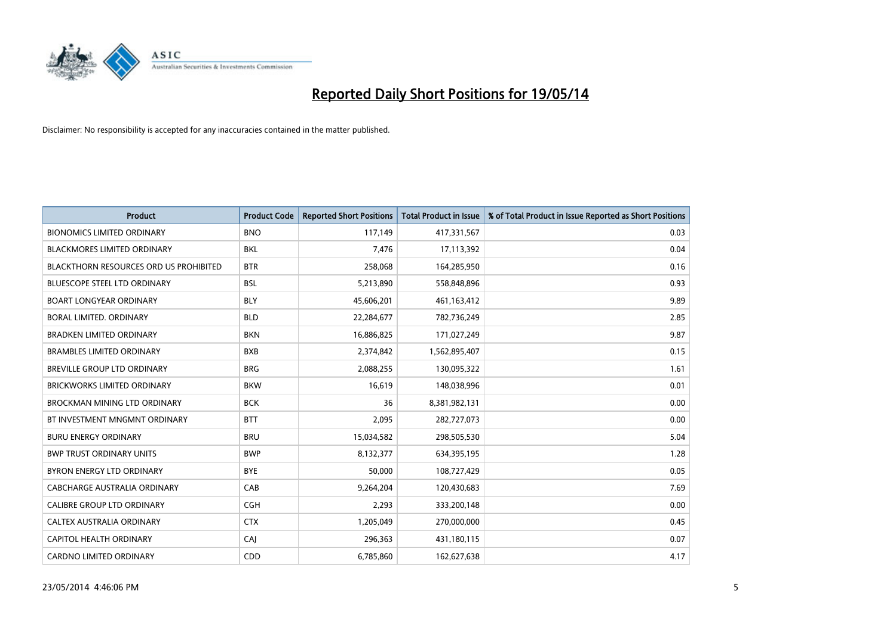

| <b>Product</b>                                | <b>Product Code</b> | <b>Reported Short Positions</b> | <b>Total Product in Issue</b> | % of Total Product in Issue Reported as Short Positions |
|-----------------------------------------------|---------------------|---------------------------------|-------------------------------|---------------------------------------------------------|
| <b>BIONOMICS LIMITED ORDINARY</b>             | <b>BNO</b>          | 117,149                         | 417,331,567                   | 0.03                                                    |
| BLACKMORES LIMITED ORDINARY                   | <b>BKL</b>          | 7,476                           | 17,113,392                    | 0.04                                                    |
| <b>BLACKTHORN RESOURCES ORD US PROHIBITED</b> | <b>BTR</b>          | 258,068                         | 164,285,950                   | 0.16                                                    |
| <b>BLUESCOPE STEEL LTD ORDINARY</b>           | <b>BSL</b>          | 5,213,890                       | 558,848,896                   | 0.93                                                    |
| <b>BOART LONGYEAR ORDINARY</b>                | <b>BLY</b>          | 45,606,201                      | 461,163,412                   | 9.89                                                    |
| <b>BORAL LIMITED, ORDINARY</b>                | <b>BLD</b>          | 22,284,677                      | 782,736,249                   | 2.85                                                    |
| <b>BRADKEN LIMITED ORDINARY</b>               | <b>BKN</b>          | 16,886,825                      | 171,027,249                   | 9.87                                                    |
| <b>BRAMBLES LIMITED ORDINARY</b>              | <b>BXB</b>          | 2,374,842                       | 1,562,895,407                 | 0.15                                                    |
| <b>BREVILLE GROUP LTD ORDINARY</b>            | <b>BRG</b>          | 2,088,255                       | 130,095,322                   | 1.61                                                    |
| <b>BRICKWORKS LIMITED ORDINARY</b>            | <b>BKW</b>          | 16,619                          | 148,038,996                   | 0.01                                                    |
| <b>BROCKMAN MINING LTD ORDINARY</b>           | <b>BCK</b>          | 36                              | 8,381,982,131                 | 0.00                                                    |
| BT INVESTMENT MNGMNT ORDINARY                 | <b>BTT</b>          | 2,095                           | 282,727,073                   | 0.00                                                    |
| <b>BURU ENERGY ORDINARY</b>                   | <b>BRU</b>          | 15,034,582                      | 298,505,530                   | 5.04                                                    |
| <b>BWP TRUST ORDINARY UNITS</b>               | <b>BWP</b>          | 8,132,377                       | 634,395,195                   | 1.28                                                    |
| BYRON ENERGY LTD ORDINARY                     | <b>BYE</b>          | 50,000                          | 108,727,429                   | 0.05                                                    |
| <b>CABCHARGE AUSTRALIA ORDINARY</b>           | CAB                 | 9,264,204                       | 120,430,683                   | 7.69                                                    |
| CALIBRE GROUP LTD ORDINARY                    | <b>CGH</b>          | 2,293                           | 333,200,148                   | 0.00                                                    |
| CALTEX AUSTRALIA ORDINARY                     | <b>CTX</b>          | 1,205,049                       | 270,000,000                   | 0.45                                                    |
| <b>CAPITOL HEALTH ORDINARY</b>                | CAJ                 | 296,363                         | 431,180,115                   | 0.07                                                    |
| <b>CARDNO LIMITED ORDINARY</b>                | CDD                 | 6,785,860                       | 162,627,638                   | 4.17                                                    |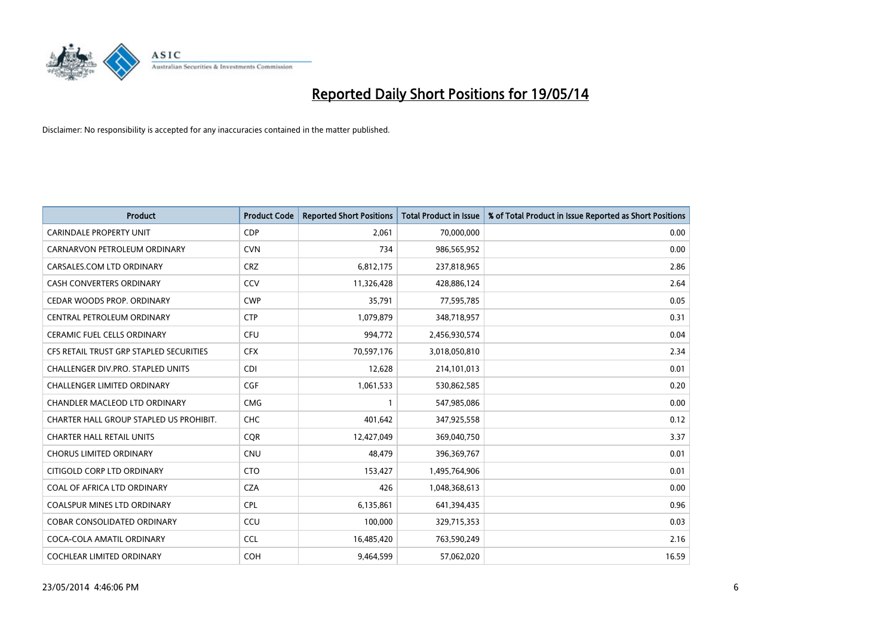

| <b>Product</b>                          | <b>Product Code</b> | <b>Reported Short Positions</b> | <b>Total Product in Issue</b> | % of Total Product in Issue Reported as Short Positions |
|-----------------------------------------|---------------------|---------------------------------|-------------------------------|---------------------------------------------------------|
| <b>CARINDALE PROPERTY UNIT</b>          | <b>CDP</b>          | 2,061                           | 70,000,000                    | 0.00                                                    |
| CARNARVON PETROLEUM ORDINARY            | <b>CVN</b>          | 734                             | 986,565,952                   | 0.00                                                    |
| CARSALES.COM LTD ORDINARY               | <b>CRZ</b>          | 6,812,175                       | 237,818,965                   | 2.86                                                    |
| CASH CONVERTERS ORDINARY                | CCV                 | 11,326,428                      | 428,886,124                   | 2.64                                                    |
| CEDAR WOODS PROP. ORDINARY              | <b>CWP</b>          | 35,791                          | 77,595,785                    | 0.05                                                    |
| CENTRAL PETROLEUM ORDINARY              | <b>CTP</b>          | 1,079,879                       | 348,718,957                   | 0.31                                                    |
| <b>CERAMIC FUEL CELLS ORDINARY</b>      | <b>CFU</b>          | 994,772                         | 2,456,930,574                 | 0.04                                                    |
| CFS RETAIL TRUST GRP STAPLED SECURITIES | <b>CFX</b>          | 70,597,176                      | 3,018,050,810                 | 2.34                                                    |
| CHALLENGER DIV.PRO. STAPLED UNITS       | <b>CDI</b>          | 12,628                          | 214,101,013                   | 0.01                                                    |
| <b>CHALLENGER LIMITED ORDINARY</b>      | <b>CGF</b>          | 1,061,533                       | 530,862,585                   | 0.20                                                    |
| CHANDLER MACLEOD LTD ORDINARY           | <b>CMG</b>          |                                 | 547,985,086                   | 0.00                                                    |
| CHARTER HALL GROUP STAPLED US PROHIBIT. | <b>CHC</b>          | 401,642                         | 347,925,558                   | 0.12                                                    |
| <b>CHARTER HALL RETAIL UNITS</b>        | <b>COR</b>          | 12,427,049                      | 369,040,750                   | 3.37                                                    |
| <b>CHORUS LIMITED ORDINARY</b>          | <b>CNU</b>          | 48,479                          | 396,369,767                   | 0.01                                                    |
| CITIGOLD CORP LTD ORDINARY              | <b>CTO</b>          | 153,427                         | 1,495,764,906                 | 0.01                                                    |
| COAL OF AFRICA LTD ORDINARY             | <b>CZA</b>          | 426                             | 1,048,368,613                 | 0.00                                                    |
| COALSPUR MINES LTD ORDINARY             | <b>CPL</b>          | 6,135,861                       | 641,394,435                   | 0.96                                                    |
| COBAR CONSOLIDATED ORDINARY             | CCU                 | 100,000                         | 329,715,353                   | 0.03                                                    |
| COCA-COLA AMATIL ORDINARY               | <b>CCL</b>          | 16,485,420                      | 763,590,249                   | 2.16                                                    |
| COCHLEAR LIMITED ORDINARY               | <b>COH</b>          | 9,464,599                       | 57,062,020                    | 16.59                                                   |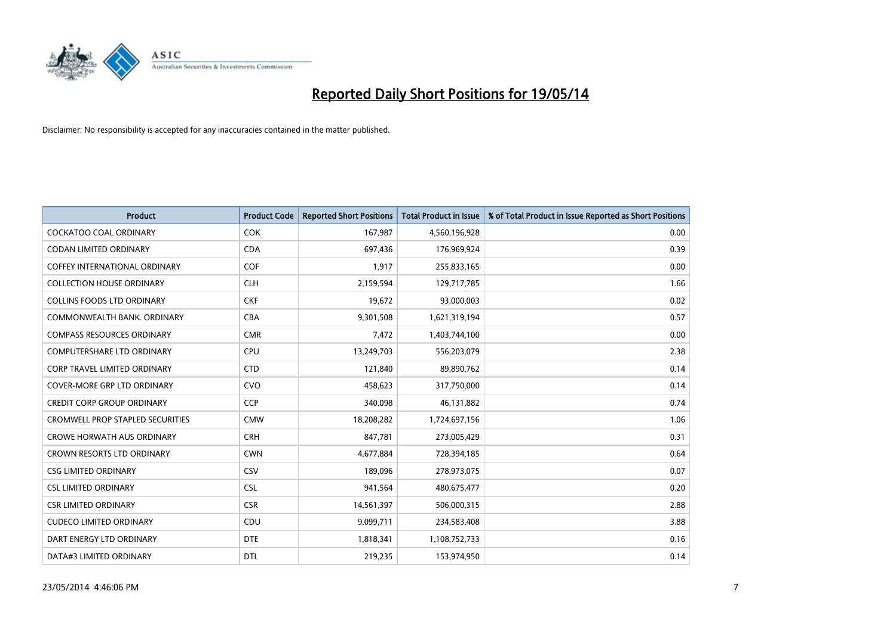

| <b>Product</b>                          | <b>Product Code</b> | <b>Reported Short Positions</b> | <b>Total Product in Issue</b> | % of Total Product in Issue Reported as Short Positions |
|-----------------------------------------|---------------------|---------------------------------|-------------------------------|---------------------------------------------------------|
| <b>COCKATOO COAL ORDINARY</b>           | <b>COK</b>          | 167,987                         | 4,560,196,928                 | 0.00                                                    |
| <b>CODAN LIMITED ORDINARY</b>           | <b>CDA</b>          | 697,436                         | 176,969,924                   | 0.39                                                    |
| COFFEY INTERNATIONAL ORDINARY           | <b>COF</b>          | 1,917                           | 255,833,165                   | 0.00                                                    |
| <b>COLLECTION HOUSE ORDINARY</b>        | <b>CLH</b>          | 2,159,594                       | 129,717,785                   | 1.66                                                    |
| <b>COLLINS FOODS LTD ORDINARY</b>       | <b>CKF</b>          | 19,672                          | 93,000,003                    | 0.02                                                    |
| COMMONWEALTH BANK, ORDINARY             | <b>CBA</b>          | 9,301,508                       | 1,621,319,194                 | 0.57                                                    |
| <b>COMPASS RESOURCES ORDINARY</b>       | <b>CMR</b>          | 7,472                           | 1,403,744,100                 | 0.00                                                    |
| <b>COMPUTERSHARE LTD ORDINARY</b>       | <b>CPU</b>          | 13,249,703                      | 556,203,079                   | 2.38                                                    |
| <b>CORP TRAVEL LIMITED ORDINARY</b>     | <b>CTD</b>          | 121,840                         | 89,890,762                    | 0.14                                                    |
| <b>COVER-MORE GRP LTD ORDINARY</b>      | <b>CVO</b>          | 458,623                         | 317,750,000                   | 0.14                                                    |
| <b>CREDIT CORP GROUP ORDINARY</b>       | <b>CCP</b>          | 340,098                         | 46,131,882                    | 0.74                                                    |
| <b>CROMWELL PROP STAPLED SECURITIES</b> | <b>CMW</b>          | 18,208,282                      | 1,724,697,156                 | 1.06                                                    |
| <b>CROWE HORWATH AUS ORDINARY</b>       | <b>CRH</b>          | 847.781                         | 273,005,429                   | 0.31                                                    |
| <b>CROWN RESORTS LTD ORDINARY</b>       | <b>CWN</b>          | 4,677,884                       | 728,394,185                   | 0.64                                                    |
| <b>CSG LIMITED ORDINARY</b>             | CSV                 | 189,096                         | 278,973,075                   | 0.07                                                    |
| <b>CSL LIMITED ORDINARY</b>             | <b>CSL</b>          | 941,564                         | 480,675,477                   | 0.20                                                    |
| <b>CSR LIMITED ORDINARY</b>             | <b>CSR</b>          | 14,561,397                      | 506,000,315                   | 2.88                                                    |
| <b>CUDECO LIMITED ORDINARY</b>          | CDU                 | 9,099,711                       | 234,583,408                   | 3.88                                                    |
| DART ENERGY LTD ORDINARY                | <b>DTE</b>          | 1,818,341                       | 1,108,752,733                 | 0.16                                                    |
| DATA#3 LIMITED ORDINARY                 | <b>DTL</b>          | 219,235                         | 153,974,950                   | 0.14                                                    |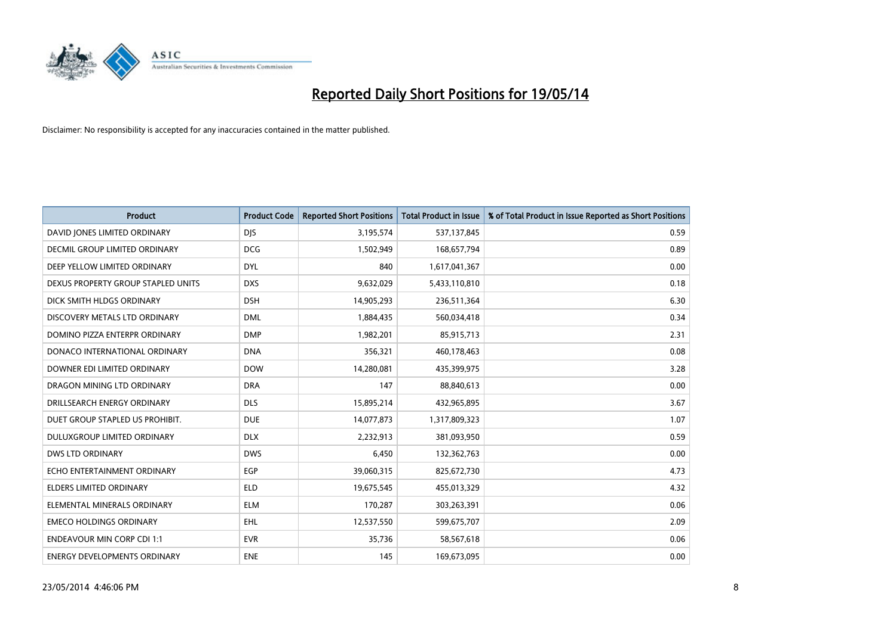

| <b>Product</b>                       | <b>Product Code</b> | <b>Reported Short Positions</b> | <b>Total Product in Issue</b> | % of Total Product in Issue Reported as Short Positions |
|--------------------------------------|---------------------|---------------------------------|-------------------------------|---------------------------------------------------------|
| DAVID JONES LIMITED ORDINARY         | <b>DJS</b>          | 3,195,574                       | 537,137,845                   | 0.59                                                    |
| <b>DECMIL GROUP LIMITED ORDINARY</b> | <b>DCG</b>          | 1,502,949                       | 168,657,794                   | 0.89                                                    |
| DEEP YELLOW LIMITED ORDINARY         | <b>DYL</b>          | 840                             | 1,617,041,367                 | 0.00                                                    |
| DEXUS PROPERTY GROUP STAPLED UNITS   | <b>DXS</b>          | 9,632,029                       | 5,433,110,810                 | 0.18                                                    |
| DICK SMITH HLDGS ORDINARY            | <b>DSH</b>          | 14,905,293                      | 236,511,364                   | 6.30                                                    |
| DISCOVERY METALS LTD ORDINARY        | <b>DML</b>          | 1,884,435                       | 560,034,418                   | 0.34                                                    |
| DOMINO PIZZA ENTERPR ORDINARY        | <b>DMP</b>          | 1,982,201                       | 85,915,713                    | 2.31                                                    |
| DONACO INTERNATIONAL ORDINARY        | <b>DNA</b>          | 356,321                         | 460,178,463                   | 0.08                                                    |
| DOWNER EDI LIMITED ORDINARY          | <b>DOW</b>          | 14,280,081                      | 435,399,975                   | 3.28                                                    |
| DRAGON MINING LTD ORDINARY           | <b>DRA</b>          | 147                             | 88,840,613                    | 0.00                                                    |
| DRILLSEARCH ENERGY ORDINARY          | <b>DLS</b>          | 15,895,214                      | 432,965,895                   | 3.67                                                    |
| DUET GROUP STAPLED US PROHIBIT.      | <b>DUE</b>          | 14,077,873                      | 1,317,809,323                 | 1.07                                                    |
| DULUXGROUP LIMITED ORDINARY          | <b>DLX</b>          | 2,232,913                       | 381,093,950                   | 0.59                                                    |
| <b>DWS LTD ORDINARY</b>              | <b>DWS</b>          | 6,450                           | 132,362,763                   | 0.00                                                    |
| ECHO ENTERTAINMENT ORDINARY          | EGP                 | 39,060,315                      | 825,672,730                   | 4.73                                                    |
| <b>ELDERS LIMITED ORDINARY</b>       | <b>ELD</b>          | 19,675,545                      | 455,013,329                   | 4.32                                                    |
| ELEMENTAL MINERALS ORDINARY          | <b>ELM</b>          | 170,287                         | 303,263,391                   | 0.06                                                    |
| <b>EMECO HOLDINGS ORDINARY</b>       | <b>EHL</b>          | 12,537,550                      | 599,675,707                   | 2.09                                                    |
| <b>ENDEAVOUR MIN CORP CDI 1:1</b>    | <b>EVR</b>          | 35,736                          | 58,567,618                    | 0.06                                                    |
| <b>ENERGY DEVELOPMENTS ORDINARY</b>  | <b>ENE</b>          | 145                             | 169,673,095                   | 0.00                                                    |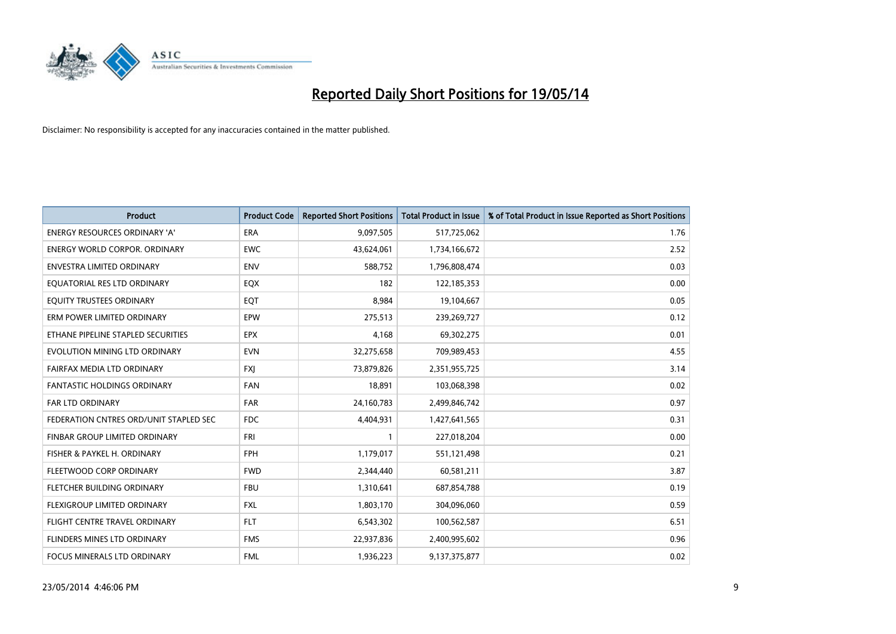

| Product                                | <b>Product Code</b> | <b>Reported Short Positions</b> | <b>Total Product in Issue</b> | % of Total Product in Issue Reported as Short Positions |
|----------------------------------------|---------------------|---------------------------------|-------------------------------|---------------------------------------------------------|
| <b>ENERGY RESOURCES ORDINARY 'A'</b>   | <b>ERA</b>          | 9,097,505                       | 517,725,062                   | 1.76                                                    |
| <b>ENERGY WORLD CORPOR. ORDINARY</b>   | <b>EWC</b>          | 43,624,061                      | 1,734,166,672                 | 2.52                                                    |
| <b>ENVESTRA LIMITED ORDINARY</b>       | <b>ENV</b>          | 588,752                         | 1,796,808,474                 | 0.03                                                    |
| EQUATORIAL RES LTD ORDINARY            | EQX                 | 182                             | 122,185,353                   | 0.00                                                    |
| <b>EOUITY TRUSTEES ORDINARY</b>        | EQT                 | 8,984                           | 19,104,667                    | 0.05                                                    |
| ERM POWER LIMITED ORDINARY             | EPW                 | 275,513                         | 239,269,727                   | 0.12                                                    |
| ETHANE PIPELINE STAPLED SECURITIES     | <b>EPX</b>          | 4,168                           | 69,302,275                    | 0.01                                                    |
| EVOLUTION MINING LTD ORDINARY          | <b>EVN</b>          | 32,275,658                      | 709,989,453                   | 4.55                                                    |
| FAIRFAX MEDIA LTD ORDINARY             | <b>FXI</b>          | 73,879,826                      | 2,351,955,725                 | 3.14                                                    |
| <b>FANTASTIC HOLDINGS ORDINARY</b>     | <b>FAN</b>          | 18,891                          | 103,068,398                   | 0.02                                                    |
| FAR LTD ORDINARY                       | <b>FAR</b>          | 24,160,783                      | 2,499,846,742                 | 0.97                                                    |
| FEDERATION CNTRES ORD/UNIT STAPLED SEC | <b>FDC</b>          | 4,404,931                       | 1,427,641,565                 | 0.31                                                    |
| FINBAR GROUP LIMITED ORDINARY          | <b>FRI</b>          | $\mathbf{1}$                    | 227,018,204                   | 0.00                                                    |
| FISHER & PAYKEL H. ORDINARY            | <b>FPH</b>          | 1,179,017                       | 551,121,498                   | 0.21                                                    |
| FLEETWOOD CORP ORDINARY                | <b>FWD</b>          | 2,344,440                       | 60,581,211                    | 3.87                                                    |
| FLETCHER BUILDING ORDINARY             | <b>FBU</b>          | 1,310,641                       | 687,854,788                   | 0.19                                                    |
| FLEXIGROUP LIMITED ORDINARY            | <b>FXL</b>          | 1,803,170                       | 304,096,060                   | 0.59                                                    |
| FLIGHT CENTRE TRAVEL ORDINARY          | <b>FLT</b>          | 6,543,302                       | 100,562,587                   | 6.51                                                    |
| FLINDERS MINES LTD ORDINARY            | <b>FMS</b>          | 22,937,836                      | 2,400,995,602                 | 0.96                                                    |
| FOCUS MINERALS LTD ORDINARY            | <b>FML</b>          | 1,936,223                       | 9,137,375,877                 | 0.02                                                    |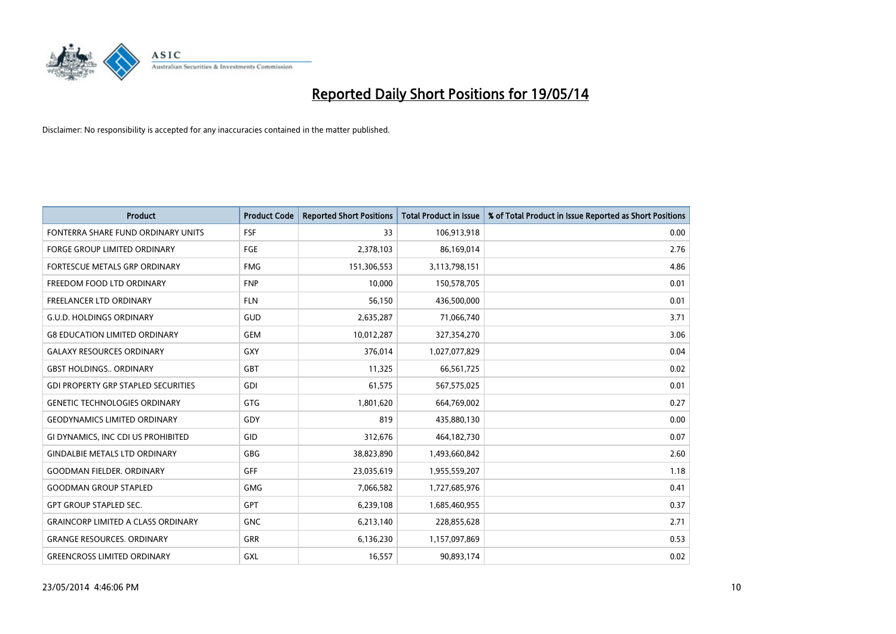

| <b>Product</b>                             | <b>Product Code</b> | <b>Reported Short Positions</b> | <b>Total Product in Issue</b> | % of Total Product in Issue Reported as Short Positions |
|--------------------------------------------|---------------------|---------------------------------|-------------------------------|---------------------------------------------------------|
| FONTERRA SHARE FUND ORDINARY UNITS         | <b>FSF</b>          | 33                              | 106,913,918                   | 0.00                                                    |
| <b>FORGE GROUP LIMITED ORDINARY</b>        | <b>FGE</b>          | 2,378,103                       | 86,169,014                    | 2.76                                                    |
| FORTESCUE METALS GRP ORDINARY              | <b>FMG</b>          | 151,306,553                     | 3,113,798,151                 | 4.86                                                    |
| FREEDOM FOOD LTD ORDINARY                  | <b>FNP</b>          | 10,000                          | 150,578,705                   | 0.01                                                    |
| <b>FREELANCER LTD ORDINARY</b>             | <b>FLN</b>          | 56,150                          | 436,500,000                   | 0.01                                                    |
| <b>G.U.D. HOLDINGS ORDINARY</b>            | GUD                 | 2,635,287                       | 71,066,740                    | 3.71                                                    |
| <b>G8 EDUCATION LIMITED ORDINARY</b>       | <b>GEM</b>          | 10,012,287                      | 327,354,270                   | 3.06                                                    |
| <b>GALAXY RESOURCES ORDINARY</b>           | GXY                 | 376,014                         | 1,027,077,829                 | 0.04                                                    |
| <b>GBST HOLDINGS ORDINARY</b>              | <b>GBT</b>          | 11,325                          | 66,561,725                    | 0.02                                                    |
| <b>GDI PROPERTY GRP STAPLED SECURITIES</b> | GDI                 | 61,575                          | 567,575,025                   | 0.01                                                    |
| <b>GENETIC TECHNOLOGIES ORDINARY</b>       | GTG                 | 1,801,620                       | 664,769,002                   | 0.27                                                    |
| <b>GEODYNAMICS LIMITED ORDINARY</b>        | GDY                 | 819                             | 435,880,130                   | 0.00                                                    |
| GI DYNAMICS, INC CDI US PROHIBITED         | GID                 | 312,676                         | 464,182,730                   | 0.07                                                    |
| <b>GINDALBIE METALS LTD ORDINARY</b>       | GBG                 | 38,823,890                      | 1,493,660,842                 | 2.60                                                    |
| <b>GOODMAN FIELDER, ORDINARY</b>           | <b>GFF</b>          | 23,035,619                      | 1,955,559,207                 | 1.18                                                    |
| <b>GOODMAN GROUP STAPLED</b>               | <b>GMG</b>          | 7,066,582                       | 1,727,685,976                 | 0.41                                                    |
| <b>GPT GROUP STAPLED SEC.</b>              | GPT                 | 6,239,108                       | 1,685,460,955                 | 0.37                                                    |
| <b>GRAINCORP LIMITED A CLASS ORDINARY</b>  | <b>GNC</b>          | 6,213,140                       | 228,855,628                   | 2.71                                                    |
| <b>GRANGE RESOURCES, ORDINARY</b>          | <b>GRR</b>          | 6,136,230                       | 1,157,097,869                 | 0.53                                                    |
| <b>GREENCROSS LIMITED ORDINARY</b>         | GXL                 | 16,557                          | 90,893,174                    | 0.02                                                    |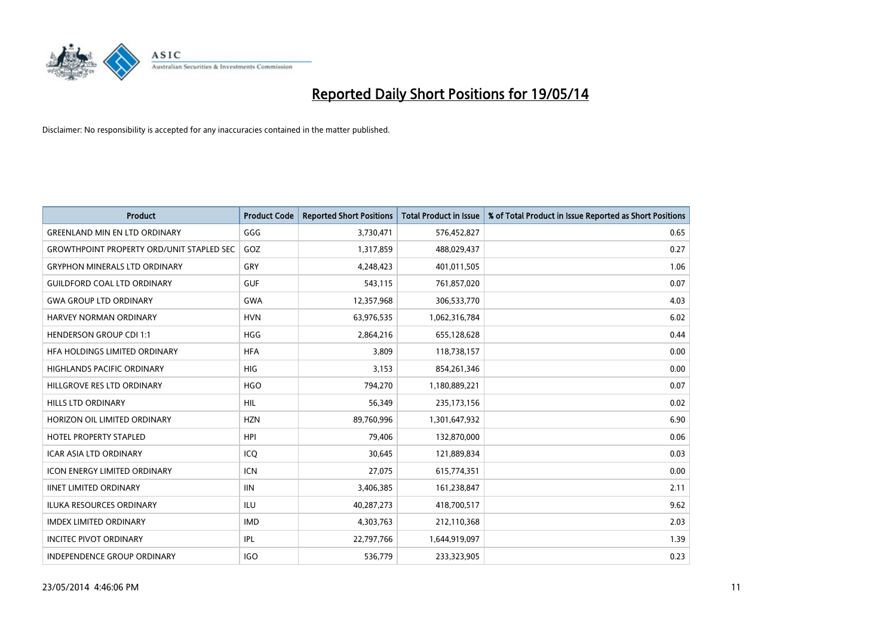

| <b>Product</b>                                   | <b>Product Code</b> | <b>Reported Short Positions</b> | <b>Total Product in Issue</b> | % of Total Product in Issue Reported as Short Positions |
|--------------------------------------------------|---------------------|---------------------------------|-------------------------------|---------------------------------------------------------|
| <b>GREENLAND MIN EN LTD ORDINARY</b>             | GGG                 | 3,730,471                       | 576,452,827                   | 0.65                                                    |
| <b>GROWTHPOINT PROPERTY ORD/UNIT STAPLED SEC</b> | GOZ                 | 1,317,859                       | 488,029,437                   | 0.27                                                    |
| <b>GRYPHON MINERALS LTD ORDINARY</b>             | GRY                 | 4,248,423                       | 401,011,505                   | 1.06                                                    |
| <b>GUILDFORD COAL LTD ORDINARY</b>               | <b>GUF</b>          | 543,115                         | 761,857,020                   | 0.07                                                    |
| <b>GWA GROUP LTD ORDINARY</b>                    | <b>GWA</b>          | 12,357,968                      | 306,533,770                   | 4.03                                                    |
| <b>HARVEY NORMAN ORDINARY</b>                    | <b>HVN</b>          | 63,976,535                      | 1,062,316,784                 | 6.02                                                    |
| <b>HENDERSON GROUP CDI 1:1</b>                   | <b>HGG</b>          | 2,864,216                       | 655,128,628                   | 0.44                                                    |
| HFA HOLDINGS LIMITED ORDINARY                    | <b>HFA</b>          | 3,809                           | 118,738,157                   | 0.00                                                    |
| HIGHLANDS PACIFIC ORDINARY                       | <b>HIG</b>          | 3,153                           | 854,261,346                   | 0.00                                                    |
| HILLGROVE RES LTD ORDINARY                       | <b>HGO</b>          | 794,270                         | 1,180,889,221                 | 0.07                                                    |
| <b>HILLS LTD ORDINARY</b>                        | <b>HIL</b>          | 56,349                          | 235, 173, 156                 | 0.02                                                    |
| HORIZON OIL LIMITED ORDINARY                     | <b>HZN</b>          | 89,760,996                      | 1,301,647,932                 | 6.90                                                    |
| <b>HOTEL PROPERTY STAPLED</b>                    | <b>HPI</b>          | 79.406                          | 132,870,000                   | 0.06                                                    |
| <b>ICAR ASIA LTD ORDINARY</b>                    | ICQ                 | 30,645                          | 121,889,834                   | 0.03                                                    |
| <b>ICON ENERGY LIMITED ORDINARY</b>              | ICN                 | 27,075                          | 615,774,351                   | 0.00                                                    |
| <b>IINET LIMITED ORDINARY</b>                    | <b>IIN</b>          | 3,406,385                       | 161,238,847                   | 2.11                                                    |
| <b>ILUKA RESOURCES ORDINARY</b>                  | ILU                 | 40,287,273                      | 418,700,517                   | 9.62                                                    |
| <b>IMDEX LIMITED ORDINARY</b>                    | <b>IMD</b>          | 4,303,763                       | 212,110,368                   | 2.03                                                    |
| <b>INCITEC PIVOT ORDINARY</b>                    | <b>IPL</b>          | 22,797,766                      | 1,644,919,097                 | 1.39                                                    |
| INDEPENDENCE GROUP ORDINARY                      | <b>IGO</b>          | 536,779                         | 233,323,905                   | 0.23                                                    |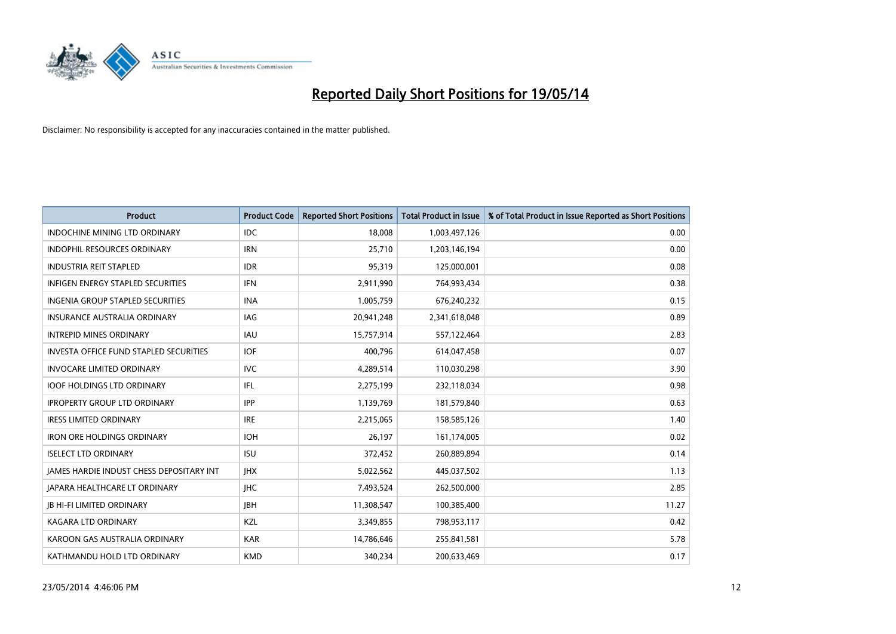

| <b>Product</b>                                  | <b>Product Code</b> | <b>Reported Short Positions</b> | <b>Total Product in Issue</b> | % of Total Product in Issue Reported as Short Positions |
|-------------------------------------------------|---------------------|---------------------------------|-------------------------------|---------------------------------------------------------|
| <b>INDOCHINE MINING LTD ORDINARY</b>            | <b>IDC</b>          | 18,008                          | 1,003,497,126                 | 0.00                                                    |
| INDOPHIL RESOURCES ORDINARY                     | <b>IRN</b>          | 25,710                          | 1,203,146,194                 | 0.00                                                    |
| <b>INDUSTRIA REIT STAPLED</b>                   | <b>IDR</b>          | 95,319                          | 125,000,001                   | 0.08                                                    |
| INFIGEN ENERGY STAPLED SECURITIES               | <b>IFN</b>          | 2,911,990                       | 764,993,434                   | 0.38                                                    |
| <b>INGENIA GROUP STAPLED SECURITIES</b>         | <b>INA</b>          | 1,005,759                       | 676,240,232                   | 0.15                                                    |
| <b>INSURANCE AUSTRALIA ORDINARY</b>             | IAG                 | 20,941,248                      | 2,341,618,048                 | 0.89                                                    |
| <b>INTREPID MINES ORDINARY</b>                  | <b>IAU</b>          | 15,757,914                      | 557,122,464                   | 2.83                                                    |
| INVESTA OFFICE FUND STAPLED SECURITIES          | <b>IOF</b>          | 400,796                         | 614,047,458                   | 0.07                                                    |
| <b>INVOCARE LIMITED ORDINARY</b>                | <b>IVC</b>          | 4,289,514                       | 110,030,298                   | 3.90                                                    |
| <b>IOOF HOLDINGS LTD ORDINARY</b>               | IFL                 | 2,275,199                       | 232,118,034                   | 0.98                                                    |
| <b>IPROPERTY GROUP LTD ORDINARY</b>             | <b>IPP</b>          | 1,139,769                       | 181,579,840                   | 0.63                                                    |
| <b>IRESS LIMITED ORDINARY</b>                   | <b>IRE</b>          | 2,215,065                       | 158,585,126                   | 1.40                                                    |
| <b>IRON ORE HOLDINGS ORDINARY</b>               | <b>IOH</b>          | 26,197                          | 161,174,005                   | 0.02                                                    |
| <b>ISELECT LTD ORDINARY</b>                     | <b>ISU</b>          | 372,452                         | 260,889,894                   | 0.14                                                    |
| <b>JAMES HARDIE INDUST CHESS DEPOSITARY INT</b> | <b>IHX</b>          | 5,022,562                       | 445,037,502                   | 1.13                                                    |
| JAPARA HEALTHCARE LT ORDINARY                   | <b>IHC</b>          | 7,493,524                       | 262,500,000                   | 2.85                                                    |
| <b>JB HI-FI LIMITED ORDINARY</b>                | <b>IBH</b>          | 11,308,547                      | 100,385,400                   | 11.27                                                   |
| <b>KAGARA LTD ORDINARY</b>                      | KZL                 | 3,349,855                       | 798,953,117                   | 0.42                                                    |
| KAROON GAS AUSTRALIA ORDINARY                   | <b>KAR</b>          | 14,786,646                      | 255,841,581                   | 5.78                                                    |
| KATHMANDU HOLD LTD ORDINARY                     | <b>KMD</b>          | 340,234                         | 200,633,469                   | 0.17                                                    |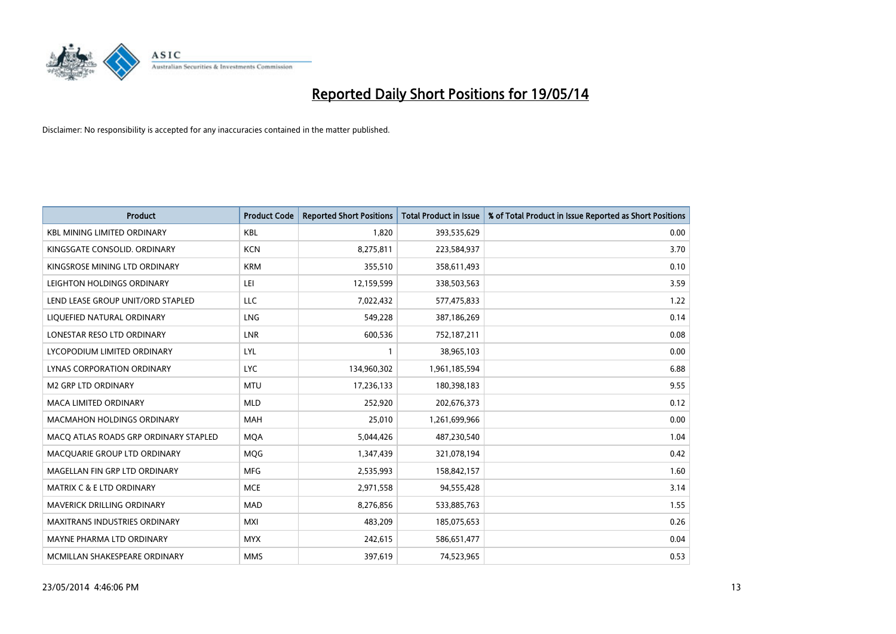

| <b>Product</b>                        | <b>Product Code</b> | <b>Reported Short Positions</b> | <b>Total Product in Issue</b> | % of Total Product in Issue Reported as Short Positions |
|---------------------------------------|---------------------|---------------------------------|-------------------------------|---------------------------------------------------------|
| <b>KBL MINING LIMITED ORDINARY</b>    | <b>KBL</b>          | 1,820                           | 393,535,629                   | 0.00                                                    |
| KINGSGATE CONSOLID. ORDINARY          | <b>KCN</b>          | 8,275,811                       | 223,584,937                   | 3.70                                                    |
| KINGSROSE MINING LTD ORDINARY         | <b>KRM</b>          | 355,510                         | 358,611,493                   | 0.10                                                    |
| LEIGHTON HOLDINGS ORDINARY            | LEI                 | 12,159,599                      | 338,503,563                   | 3.59                                                    |
| LEND LEASE GROUP UNIT/ORD STAPLED     | <b>LLC</b>          | 7,022,432                       | 577,475,833                   | 1.22                                                    |
| LIQUEFIED NATURAL ORDINARY            | LNG                 | 549,228                         | 387,186,269                   | 0.14                                                    |
| LONESTAR RESO LTD ORDINARY            | LNR                 | 600,536                         | 752,187,211                   | 0.08                                                    |
| LYCOPODIUM LIMITED ORDINARY           | LYL                 | $\mathbf{1}$                    | 38,965,103                    | 0.00                                                    |
| LYNAS CORPORATION ORDINARY            | <b>LYC</b>          | 134,960,302                     | 1,961,185,594                 | 6.88                                                    |
| <b>M2 GRP LTD ORDINARY</b>            | <b>MTU</b>          | 17,236,133                      | 180,398,183                   | 9.55                                                    |
| MACA LIMITED ORDINARY                 | <b>MLD</b>          | 252,920                         | 202,676,373                   | 0.12                                                    |
| <b>MACMAHON HOLDINGS ORDINARY</b>     | <b>MAH</b>          | 25,010                          | 1,261,699,966                 | 0.00                                                    |
| MACO ATLAS ROADS GRP ORDINARY STAPLED | <b>MQA</b>          | 5,044,426                       | 487,230,540                   | 1.04                                                    |
| MACQUARIE GROUP LTD ORDINARY          | <b>MQG</b>          | 1,347,439                       | 321,078,194                   | 0.42                                                    |
| MAGELLAN FIN GRP LTD ORDINARY         | <b>MFG</b>          | 2,535,993                       | 158,842,157                   | 1.60                                                    |
| <b>MATRIX C &amp; E LTD ORDINARY</b>  | <b>MCE</b>          | 2,971,558                       | 94,555,428                    | 3.14                                                    |
| <b>MAVERICK DRILLING ORDINARY</b>     | <b>MAD</b>          | 8,276,856                       | 533,885,763                   | 1.55                                                    |
| MAXITRANS INDUSTRIES ORDINARY         | <b>MXI</b>          | 483,209                         | 185,075,653                   | 0.26                                                    |
| MAYNE PHARMA LTD ORDINARY             | <b>MYX</b>          | 242,615                         | 586,651,477                   | 0.04                                                    |
| MCMILLAN SHAKESPEARE ORDINARY         | <b>MMS</b>          | 397,619                         | 74,523,965                    | 0.53                                                    |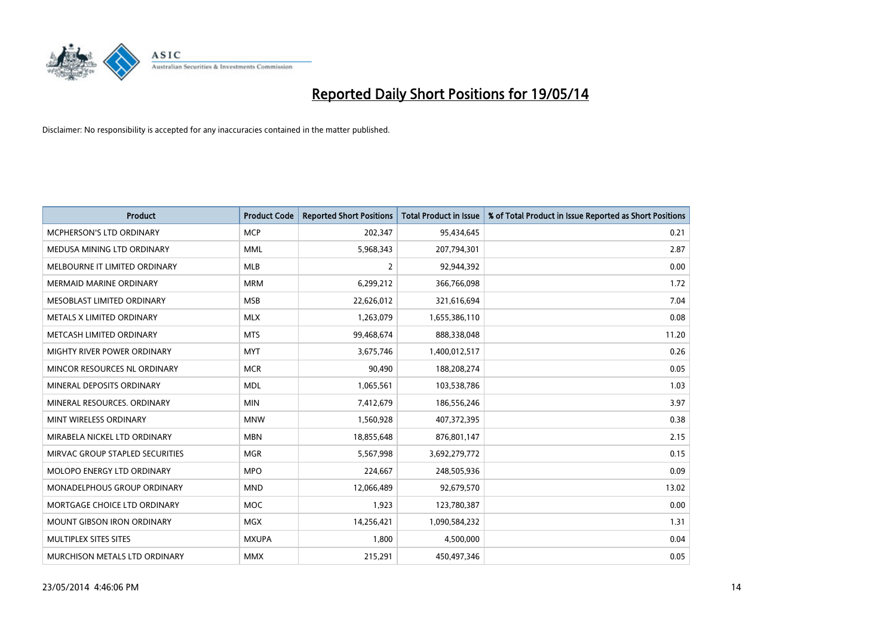

| <b>Product</b>                  | <b>Product Code</b> | <b>Reported Short Positions</b> | <b>Total Product in Issue</b> | % of Total Product in Issue Reported as Short Positions |
|---------------------------------|---------------------|---------------------------------|-------------------------------|---------------------------------------------------------|
| <b>MCPHERSON'S LTD ORDINARY</b> | <b>MCP</b>          | 202,347                         | 95,434,645                    | 0.21                                                    |
| MEDUSA MINING LTD ORDINARY      | <b>MML</b>          | 5,968,343                       | 207,794,301                   | 2.87                                                    |
| MELBOURNE IT LIMITED ORDINARY   | <b>MLB</b>          | $\overline{2}$                  | 92,944,392                    | 0.00                                                    |
| <b>MERMAID MARINE ORDINARY</b>  | <b>MRM</b>          | 6,299,212                       | 366,766,098                   | 1.72                                                    |
| MESOBLAST LIMITED ORDINARY      | <b>MSB</b>          | 22,626,012                      | 321,616,694                   | 7.04                                                    |
| METALS X LIMITED ORDINARY       | <b>MLX</b>          | 1,263,079                       | 1,655,386,110                 | 0.08                                                    |
| METCASH LIMITED ORDINARY        | <b>MTS</b>          | 99,468,674                      | 888,338,048                   | 11.20                                                   |
| MIGHTY RIVER POWER ORDINARY     | <b>MYT</b>          | 3,675,746                       | 1,400,012,517                 | 0.26                                                    |
| MINCOR RESOURCES NL ORDINARY    | <b>MCR</b>          | 90,490                          | 188,208,274                   | 0.05                                                    |
| MINERAL DEPOSITS ORDINARY       | <b>MDL</b>          | 1,065,561                       | 103,538,786                   | 1.03                                                    |
| MINERAL RESOURCES. ORDINARY     | <b>MIN</b>          | 7,412,679                       | 186,556,246                   | 3.97                                                    |
| MINT WIRELESS ORDINARY          | <b>MNW</b>          | 1,560,928                       | 407,372,395                   | 0.38                                                    |
| MIRABELA NICKEL LTD ORDINARY    | <b>MBN</b>          | 18,855,648                      | 876,801,147                   | 2.15                                                    |
| MIRVAC GROUP STAPLED SECURITIES | <b>MGR</b>          | 5,567,998                       | 3,692,279,772                 | 0.15                                                    |
| MOLOPO ENERGY LTD ORDINARY      | <b>MPO</b>          | 224,667                         | 248,505,936                   | 0.09                                                    |
| MONADELPHOUS GROUP ORDINARY     | <b>MND</b>          | 12,066,489                      | 92,679,570                    | 13.02                                                   |
| MORTGAGE CHOICE LTD ORDINARY    | MOC                 | 1,923                           | 123,780,387                   | 0.00                                                    |
| MOUNT GIBSON IRON ORDINARY      | <b>MGX</b>          | 14,256,421                      | 1,090,584,232                 | 1.31                                                    |
| MULTIPLEX SITES SITES           | <b>MXUPA</b>        | 1,800                           | 4,500,000                     | 0.04                                                    |
| MURCHISON METALS LTD ORDINARY   | <b>MMX</b>          | 215,291                         | 450,497,346                   | 0.05                                                    |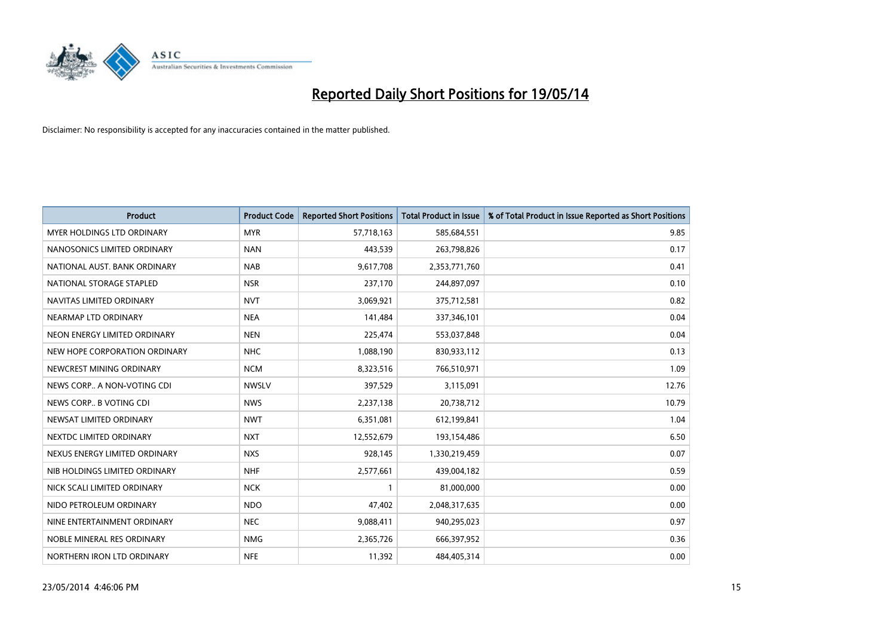

| <b>Product</b>                    | <b>Product Code</b> | <b>Reported Short Positions</b> | <b>Total Product in Issue</b> | % of Total Product in Issue Reported as Short Positions |
|-----------------------------------|---------------------|---------------------------------|-------------------------------|---------------------------------------------------------|
| <b>MYER HOLDINGS LTD ORDINARY</b> | <b>MYR</b>          | 57,718,163                      | 585,684,551                   | 9.85                                                    |
| NANOSONICS LIMITED ORDINARY       | <b>NAN</b>          | 443,539                         | 263,798,826                   | 0.17                                                    |
| NATIONAL AUST, BANK ORDINARY      | <b>NAB</b>          | 9,617,708                       | 2,353,771,760                 | 0.41                                                    |
| NATIONAL STORAGE STAPLED          | <b>NSR</b>          | 237,170                         | 244,897,097                   | 0.10                                                    |
| NAVITAS LIMITED ORDINARY          | <b>NVT</b>          | 3,069,921                       | 375,712,581                   | 0.82                                                    |
| NEARMAP LTD ORDINARY              | <b>NEA</b>          | 141,484                         | 337,346,101                   | 0.04                                                    |
| NEON ENERGY LIMITED ORDINARY      | <b>NEN</b>          | 225,474                         | 553,037,848                   | 0.04                                                    |
| NEW HOPE CORPORATION ORDINARY     | <b>NHC</b>          | 1,088,190                       | 830,933,112                   | 0.13                                                    |
| NEWCREST MINING ORDINARY          | <b>NCM</b>          | 8,323,516                       | 766,510,971                   | 1.09                                                    |
| NEWS CORP A NON-VOTING CDI        | <b>NWSLV</b>        | 397,529                         | 3,115,091                     | 12.76                                                   |
| NEWS CORP B VOTING CDI            | <b>NWS</b>          | 2,237,138                       | 20,738,712                    | 10.79                                                   |
| NEWSAT LIMITED ORDINARY           | <b>NWT</b>          | 6,351,081                       | 612,199,841                   | 1.04                                                    |
| NEXTDC LIMITED ORDINARY           | <b>NXT</b>          | 12,552,679                      | 193,154,486                   | 6.50                                                    |
| NEXUS ENERGY LIMITED ORDINARY     | <b>NXS</b>          | 928,145                         | 1,330,219,459                 | 0.07                                                    |
| NIB HOLDINGS LIMITED ORDINARY     | <b>NHF</b>          | 2,577,661                       | 439,004,182                   | 0.59                                                    |
| NICK SCALI LIMITED ORDINARY       | <b>NCK</b>          |                                 | 81,000,000                    | 0.00                                                    |
| NIDO PETROLEUM ORDINARY           | <b>NDO</b>          | 47,402                          | 2,048,317,635                 | 0.00                                                    |
| NINE ENTERTAINMENT ORDINARY       | <b>NEC</b>          | 9,088,411                       | 940,295,023                   | 0.97                                                    |
| NOBLE MINERAL RES ORDINARY        | <b>NMG</b>          | 2,365,726                       | 666,397,952                   | 0.36                                                    |
| NORTHERN IRON LTD ORDINARY        | <b>NFE</b>          | 11,392                          | 484,405,314                   | 0.00                                                    |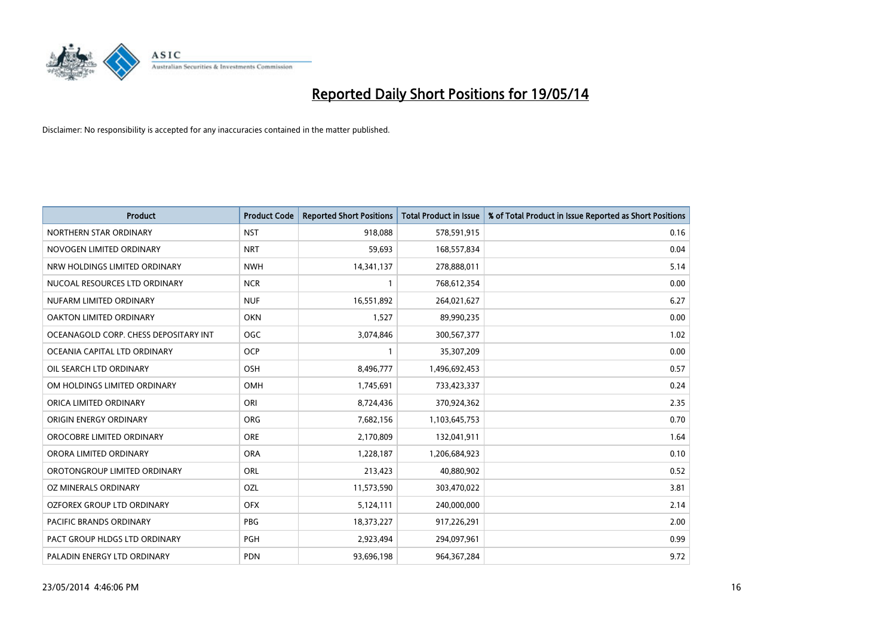

| <b>Product</b>                        | <b>Product Code</b> | <b>Reported Short Positions</b> | <b>Total Product in Issue</b> | % of Total Product in Issue Reported as Short Positions |
|---------------------------------------|---------------------|---------------------------------|-------------------------------|---------------------------------------------------------|
| NORTHERN STAR ORDINARY                | <b>NST</b>          | 918,088                         | 578,591,915                   | 0.16                                                    |
| NOVOGEN LIMITED ORDINARY              | <b>NRT</b>          | 59,693                          | 168,557,834                   | 0.04                                                    |
| NRW HOLDINGS LIMITED ORDINARY         | <b>NWH</b>          | 14,341,137                      | 278,888,011                   | 5.14                                                    |
| NUCOAL RESOURCES LTD ORDINARY         | <b>NCR</b>          | 1                               | 768,612,354                   | 0.00                                                    |
| NUFARM LIMITED ORDINARY               | <b>NUF</b>          | 16,551,892                      | 264,021,627                   | 6.27                                                    |
| <b>OAKTON LIMITED ORDINARY</b>        | <b>OKN</b>          | 1,527                           | 89,990,235                    | 0.00                                                    |
| OCEANAGOLD CORP. CHESS DEPOSITARY INT | OGC                 | 3,074,846                       | 300,567,377                   | 1.02                                                    |
| OCEANIA CAPITAL LTD ORDINARY          | <b>OCP</b>          | 1                               | 35,307,209                    | 0.00                                                    |
| OIL SEARCH LTD ORDINARY               | OSH                 | 8,496,777                       | 1,496,692,453                 | 0.57                                                    |
| OM HOLDINGS LIMITED ORDINARY          | OMH                 | 1,745,691                       | 733,423,337                   | 0.24                                                    |
| ORICA LIMITED ORDINARY                | ORI                 | 8,724,436                       | 370,924,362                   | 2.35                                                    |
| ORIGIN ENERGY ORDINARY                | <b>ORG</b>          | 7,682,156                       | 1,103,645,753                 | 0.70                                                    |
| OROCOBRE LIMITED ORDINARY             | <b>ORE</b>          | 2,170,809                       | 132,041,911                   | 1.64                                                    |
| ORORA LIMITED ORDINARY                | <b>ORA</b>          | 1,228,187                       | 1,206,684,923                 | 0.10                                                    |
| OROTONGROUP LIMITED ORDINARY          | ORL                 | 213,423                         | 40,880,902                    | 0.52                                                    |
| <b>OZ MINERALS ORDINARY</b>           | OZL                 | 11,573,590                      | 303,470,022                   | 3.81                                                    |
| OZFOREX GROUP LTD ORDINARY            | <b>OFX</b>          | 5,124,111                       | 240,000,000                   | 2.14                                                    |
| <b>PACIFIC BRANDS ORDINARY</b>        | <b>PBG</b>          | 18,373,227                      | 917,226,291                   | 2.00                                                    |
| PACT GROUP HLDGS LTD ORDINARY         | PGH                 | 2,923,494                       | 294,097,961                   | 0.99                                                    |
| PALADIN ENERGY LTD ORDINARY           | <b>PDN</b>          | 93,696,198                      | 964, 367, 284                 | 9.72                                                    |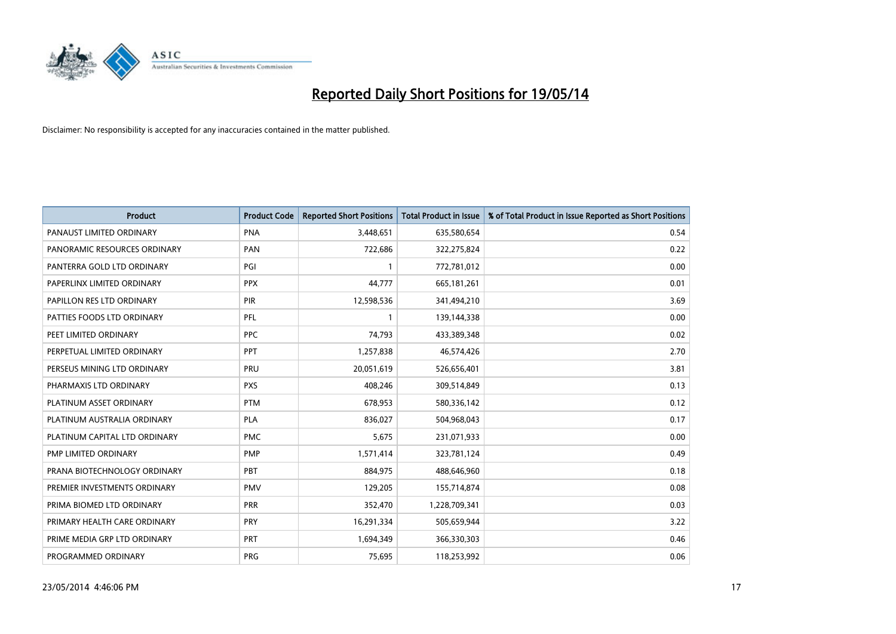

| <b>Product</b>                | <b>Product Code</b> | <b>Reported Short Positions</b> | <b>Total Product in Issue</b> | % of Total Product in Issue Reported as Short Positions |
|-------------------------------|---------------------|---------------------------------|-------------------------------|---------------------------------------------------------|
| PANAUST LIMITED ORDINARY      | <b>PNA</b>          | 3,448,651                       | 635,580,654                   | 0.54                                                    |
| PANORAMIC RESOURCES ORDINARY  | <b>PAN</b>          | 722,686                         | 322,275,824                   | 0.22                                                    |
| PANTERRA GOLD LTD ORDINARY    | PGI                 | $\mathbf{1}$                    | 772,781,012                   | 0.00                                                    |
| PAPERLINX LIMITED ORDINARY    | <b>PPX</b>          | 44,777                          | 665,181,261                   | 0.01                                                    |
| PAPILLON RES LTD ORDINARY     | PIR                 | 12,598,536                      | 341,494,210                   | 3.69                                                    |
| PATTIES FOODS LTD ORDINARY    | PFL                 | $\mathbf{1}$                    | 139,144,338                   | 0.00                                                    |
| PEET LIMITED ORDINARY         | <b>PPC</b>          | 74,793                          | 433,389,348                   | 0.02                                                    |
| PERPETUAL LIMITED ORDINARY    | PPT                 | 1,257,838                       | 46,574,426                    | 2.70                                                    |
| PERSEUS MINING LTD ORDINARY   | PRU                 | 20,051,619                      | 526,656,401                   | 3.81                                                    |
| PHARMAXIS LTD ORDINARY        | <b>PXS</b>          | 408,246                         | 309,514,849                   | 0.13                                                    |
| PLATINUM ASSET ORDINARY       | <b>PTM</b>          | 678,953                         | 580,336,142                   | 0.12                                                    |
| PLATINUM AUSTRALIA ORDINARY   | <b>PLA</b>          | 836,027                         | 504,968,043                   | 0.17                                                    |
| PLATINUM CAPITAL LTD ORDINARY | <b>PMC</b>          | 5,675                           | 231,071,933                   | 0.00                                                    |
| PMP LIMITED ORDINARY          | <b>PMP</b>          | 1,571,414                       | 323,781,124                   | 0.49                                                    |
| PRANA BIOTECHNOLOGY ORDINARY  | PBT                 | 884,975                         | 488,646,960                   | 0.18                                                    |
| PREMIER INVESTMENTS ORDINARY  | PMV                 | 129,205                         | 155,714,874                   | 0.08                                                    |
| PRIMA BIOMED LTD ORDINARY     | <b>PRR</b>          | 352,470                         | 1,228,709,341                 | 0.03                                                    |
| PRIMARY HEALTH CARE ORDINARY  | <b>PRY</b>          | 16,291,334                      | 505,659,944                   | 3.22                                                    |
| PRIME MEDIA GRP LTD ORDINARY  | <b>PRT</b>          | 1,694,349                       | 366,330,303                   | 0.46                                                    |
| PROGRAMMED ORDINARY           | <b>PRG</b>          | 75,695                          | 118,253,992                   | 0.06                                                    |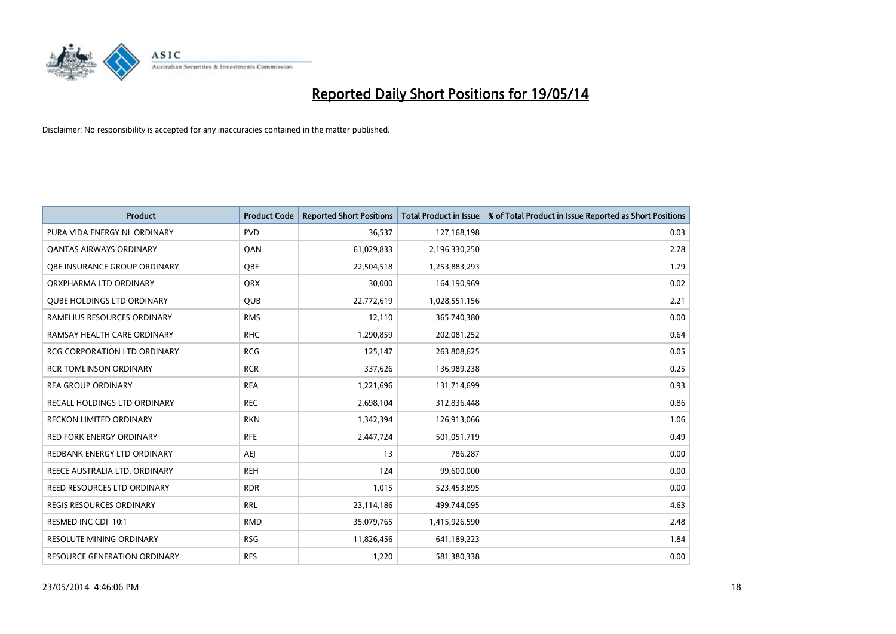

| <b>Product</b>                      | <b>Product Code</b> | <b>Reported Short Positions</b> | <b>Total Product in Issue</b> | % of Total Product in Issue Reported as Short Positions |
|-------------------------------------|---------------------|---------------------------------|-------------------------------|---------------------------------------------------------|
| PURA VIDA ENERGY NL ORDINARY        | <b>PVD</b>          | 36,537                          | 127,168,198                   | 0.03                                                    |
| <b>QANTAS AIRWAYS ORDINARY</b>      | QAN                 | 61,029,833                      | 2,196,330,250                 | 2.78                                                    |
| <b>OBE INSURANCE GROUP ORDINARY</b> | OBE                 | 22,504,518                      | 1,253,883,293                 | 1.79                                                    |
| ORXPHARMA LTD ORDINARY              | <b>ORX</b>          | 30,000                          | 164,190,969                   | 0.02                                                    |
| <b>OUBE HOLDINGS LTD ORDINARY</b>   | <b>QUB</b>          | 22,772,619                      | 1,028,551,156                 | 2.21                                                    |
| RAMELIUS RESOURCES ORDINARY         | <b>RMS</b>          | 12,110                          | 365,740,380                   | 0.00                                                    |
| RAMSAY HEALTH CARE ORDINARY         | <b>RHC</b>          | 1,290,859                       | 202,081,252                   | 0.64                                                    |
| RCG CORPORATION LTD ORDINARY        | <b>RCG</b>          | 125,147                         | 263,808,625                   | 0.05                                                    |
| <b>RCR TOMLINSON ORDINARY</b>       | <b>RCR</b>          | 337,626                         | 136,989,238                   | 0.25                                                    |
| <b>REA GROUP ORDINARY</b>           | <b>REA</b>          | 1,221,696                       | 131,714,699                   | 0.93                                                    |
| RECALL HOLDINGS LTD ORDINARY        | <b>REC</b>          | 2,698,104                       | 312,836,448                   | 0.86                                                    |
| <b>RECKON LIMITED ORDINARY</b>      | <b>RKN</b>          | 1,342,394                       | 126,913,066                   | 1.06                                                    |
| <b>RED FORK ENERGY ORDINARY</b>     | <b>RFE</b>          | 2,447,724                       | 501,051,719                   | 0.49                                                    |
| REDBANK ENERGY LTD ORDINARY         | AEJ                 | 13                              | 786,287                       | 0.00                                                    |
| REECE AUSTRALIA LTD. ORDINARY       | <b>REH</b>          | 124                             | 99,600,000                    | 0.00                                                    |
| REED RESOURCES LTD ORDINARY         | <b>RDR</b>          | 1,015                           | 523,453,895                   | 0.00                                                    |
| REGIS RESOURCES ORDINARY            | <b>RRL</b>          | 23,114,186                      | 499,744,095                   | 4.63                                                    |
| RESMED INC CDI 10:1                 | <b>RMD</b>          | 35,079,765                      | 1,415,926,590                 | 2.48                                                    |
| <b>RESOLUTE MINING ORDINARY</b>     | <b>RSG</b>          | 11,826,456                      | 641,189,223                   | 1.84                                                    |
| <b>RESOURCE GENERATION ORDINARY</b> | <b>RES</b>          | 1,220                           | 581,380,338                   | 0.00                                                    |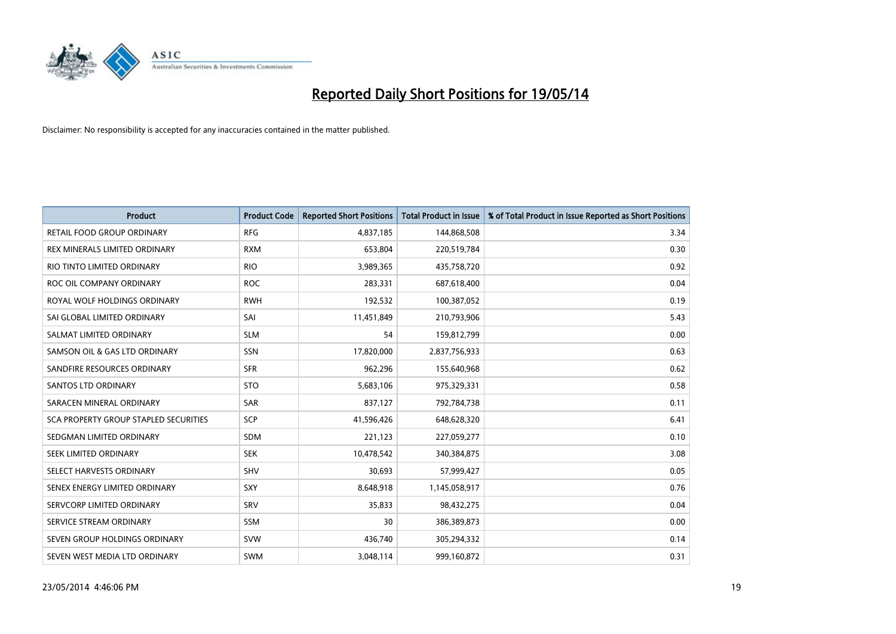

| <b>Product</b>                        | <b>Product Code</b> | <b>Reported Short Positions</b> | <b>Total Product in Issue</b> | % of Total Product in Issue Reported as Short Positions |
|---------------------------------------|---------------------|---------------------------------|-------------------------------|---------------------------------------------------------|
| <b>RETAIL FOOD GROUP ORDINARY</b>     | <b>RFG</b>          | 4,837,185                       | 144,868,508                   | 3.34                                                    |
| REX MINERALS LIMITED ORDINARY         | <b>RXM</b>          | 653,804                         | 220,519,784                   | 0.30                                                    |
| RIO TINTO LIMITED ORDINARY            | <b>RIO</b>          | 3,989,365                       | 435,758,720                   | 0.92                                                    |
| ROC OIL COMPANY ORDINARY              | <b>ROC</b>          | 283,331                         | 687,618,400                   | 0.04                                                    |
| ROYAL WOLF HOLDINGS ORDINARY          | <b>RWH</b>          | 192,532                         | 100,387,052                   | 0.19                                                    |
| SAI GLOBAL LIMITED ORDINARY           | SAI                 | 11,451,849                      | 210,793,906                   | 5.43                                                    |
| SALMAT LIMITED ORDINARY               | <b>SLM</b>          | 54                              | 159,812,799                   | 0.00                                                    |
| SAMSON OIL & GAS LTD ORDINARY         | SSN                 | 17,820,000                      | 2,837,756,933                 | 0.63                                                    |
| SANDFIRE RESOURCES ORDINARY           | <b>SFR</b>          | 962,296                         | 155,640,968                   | 0.62                                                    |
| SANTOS LTD ORDINARY                   | <b>STO</b>          | 5,683,106                       | 975,329,331                   | 0.58                                                    |
| SARACEN MINERAL ORDINARY              | SAR                 | 837,127                         | 792,784,738                   | 0.11                                                    |
| SCA PROPERTY GROUP STAPLED SECURITIES | SCP                 | 41,596,426                      | 648,628,320                   | 6.41                                                    |
| SEDGMAN LIMITED ORDINARY              | <b>SDM</b>          | 221,123                         | 227,059,277                   | 0.10                                                    |
| SEEK LIMITED ORDINARY                 | <b>SEK</b>          | 10,478,542                      | 340,384,875                   | 3.08                                                    |
| SELECT HARVESTS ORDINARY              | SHV                 | 30,693                          | 57,999,427                    | 0.05                                                    |
| SENEX ENERGY LIMITED ORDINARY         | <b>SXY</b>          | 8,648,918                       | 1,145,058,917                 | 0.76                                                    |
| SERVCORP LIMITED ORDINARY             | SRV                 | 35,833                          | 98,432,275                    | 0.04                                                    |
| SERVICE STREAM ORDINARY               | SSM                 | 30                              | 386,389,873                   | 0.00                                                    |
| SEVEN GROUP HOLDINGS ORDINARY         | <b>SVW</b>          | 436,740                         | 305,294,332                   | 0.14                                                    |
| SEVEN WEST MEDIA LTD ORDINARY         | <b>SWM</b>          | 3,048,114                       | 999,160,872                   | 0.31                                                    |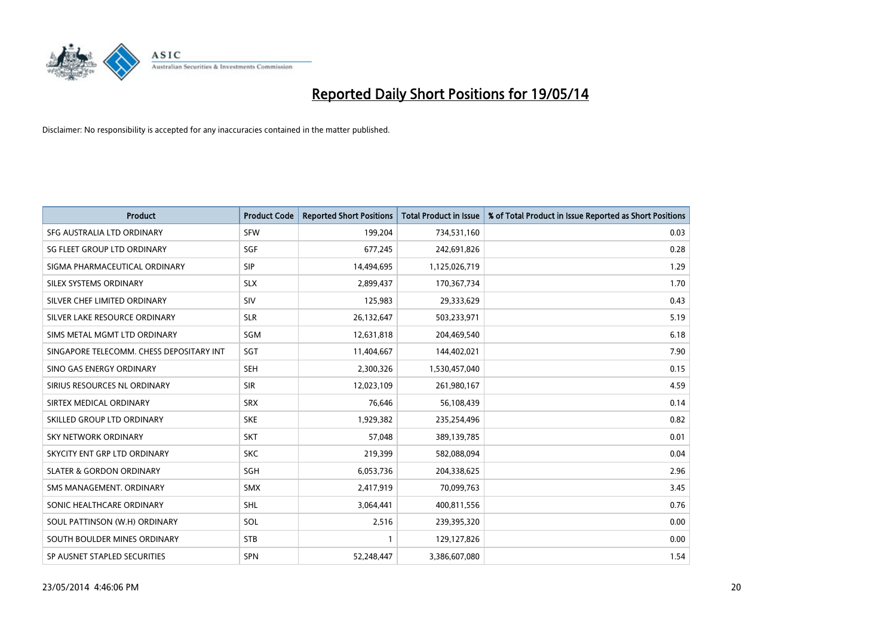

| <b>Product</b>                           | <b>Product Code</b> | <b>Reported Short Positions</b> | <b>Total Product in Issue</b> | % of Total Product in Issue Reported as Short Positions |
|------------------------------------------|---------------------|---------------------------------|-------------------------------|---------------------------------------------------------|
| SFG AUSTRALIA LTD ORDINARY               | <b>SFW</b>          | 199,204                         | 734,531,160                   | 0.03                                                    |
| SG FLEET GROUP LTD ORDINARY              | <b>SGF</b>          | 677,245                         | 242,691,826                   | 0.28                                                    |
| SIGMA PHARMACEUTICAL ORDINARY            | <b>SIP</b>          | 14,494,695                      | 1,125,026,719                 | 1.29                                                    |
| SILEX SYSTEMS ORDINARY                   | <b>SLX</b>          | 2,899,437                       | 170,367,734                   | 1.70                                                    |
| SILVER CHEF LIMITED ORDINARY             | SIV                 | 125,983                         | 29,333,629                    | 0.43                                                    |
| SILVER LAKE RESOURCE ORDINARY            | <b>SLR</b>          | 26,132,647                      | 503,233,971                   | 5.19                                                    |
| SIMS METAL MGMT LTD ORDINARY             | SGM                 | 12,631,818                      | 204,469,540                   | 6.18                                                    |
| SINGAPORE TELECOMM. CHESS DEPOSITARY INT | <b>SGT</b>          | 11,404,667                      | 144,402,021                   | 7.90                                                    |
| SINO GAS ENERGY ORDINARY                 | <b>SEH</b>          | 2,300,326                       | 1,530,457,040                 | 0.15                                                    |
| SIRIUS RESOURCES NL ORDINARY             | <b>SIR</b>          | 12,023,109                      | 261,980,167                   | 4.59                                                    |
| SIRTEX MEDICAL ORDINARY                  | <b>SRX</b>          | 76,646                          | 56,108,439                    | 0.14                                                    |
| SKILLED GROUP LTD ORDINARY               | <b>SKE</b>          | 1,929,382                       | 235,254,496                   | 0.82                                                    |
| SKY NETWORK ORDINARY                     | <b>SKT</b>          | 57,048                          | 389,139,785                   | 0.01                                                    |
| SKYCITY ENT GRP LTD ORDINARY             | <b>SKC</b>          | 219,399                         | 582,088,094                   | 0.04                                                    |
| <b>SLATER &amp; GORDON ORDINARY</b>      | SGH                 | 6,053,736                       | 204,338,625                   | 2.96                                                    |
| SMS MANAGEMENT, ORDINARY                 | <b>SMX</b>          | 2,417,919                       | 70,099,763                    | 3.45                                                    |
| SONIC HEALTHCARE ORDINARY                | <b>SHL</b>          | 3,064,441                       | 400,811,556                   | 0.76                                                    |
| SOUL PATTINSON (W.H) ORDINARY            | SOL                 | 2,516                           | 239,395,320                   | 0.00                                                    |
| SOUTH BOULDER MINES ORDINARY             | <b>STB</b>          | 1                               | 129,127,826                   | 0.00                                                    |
| SP AUSNET STAPLED SECURITIES             | <b>SPN</b>          | 52,248,447                      | 3,386,607,080                 | 1.54                                                    |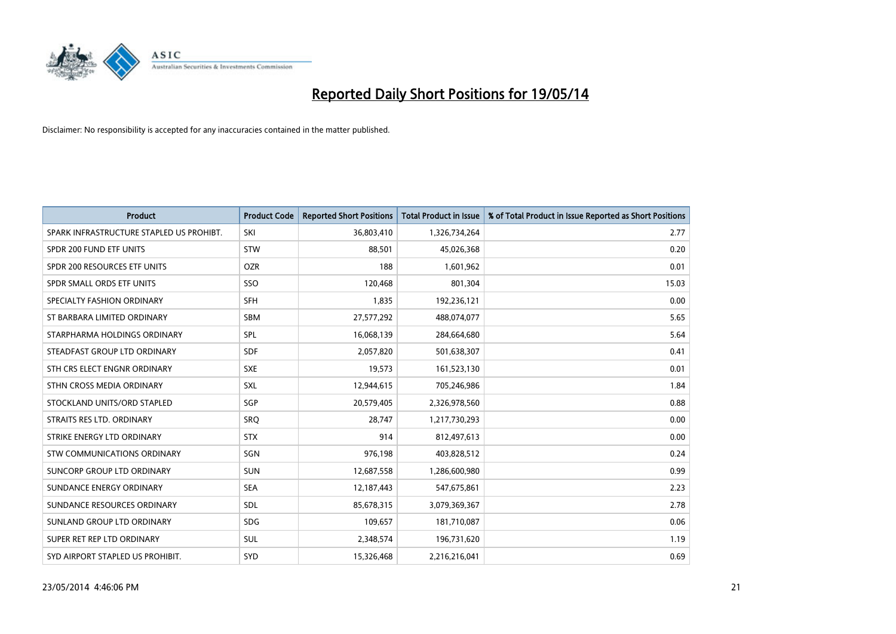

| <b>Product</b>                           | <b>Product Code</b> | <b>Reported Short Positions</b> | <b>Total Product in Issue</b> | % of Total Product in Issue Reported as Short Positions |
|------------------------------------------|---------------------|---------------------------------|-------------------------------|---------------------------------------------------------|
| SPARK INFRASTRUCTURE STAPLED US PROHIBT. | SKI                 | 36,803,410                      | 1,326,734,264                 | 2.77                                                    |
| SPDR 200 FUND ETF UNITS                  | <b>STW</b>          | 88,501                          | 45,026,368                    | 0.20                                                    |
| SPDR 200 RESOURCES ETF UNITS             | <b>OZR</b>          | 188                             | 1,601,962                     | 0.01                                                    |
| SPDR SMALL ORDS ETF UNITS                | SSO                 | 120,468                         | 801,304                       | 15.03                                                   |
| SPECIALTY FASHION ORDINARY               | SFH                 | 1,835                           | 192,236,121                   | 0.00                                                    |
| ST BARBARA LIMITED ORDINARY              | SBM                 | 27,577,292                      | 488,074,077                   | 5.65                                                    |
| STARPHARMA HOLDINGS ORDINARY             | SPL                 | 16,068,139                      | 284,664,680                   | 5.64                                                    |
| STEADFAST GROUP LTD ORDINARY             | <b>SDF</b>          | 2,057,820                       | 501,638,307                   | 0.41                                                    |
| STH CRS ELECT ENGNR ORDINARY             | <b>SXE</b>          | 19,573                          | 161,523,130                   | 0.01                                                    |
| STHN CROSS MEDIA ORDINARY                | <b>SXL</b>          | 12,944,615                      | 705,246,986                   | 1.84                                                    |
| STOCKLAND UNITS/ORD STAPLED              | SGP                 | 20,579,405                      | 2,326,978,560                 | 0.88                                                    |
| STRAITS RES LTD. ORDINARY                | SRO                 | 28,747                          | 1,217,730,293                 | 0.00                                                    |
| STRIKE ENERGY LTD ORDINARY               | <b>STX</b>          | 914                             | 812,497,613                   | 0.00                                                    |
| STW COMMUNICATIONS ORDINARY              | SGN                 | 976,198                         | 403,828,512                   | 0.24                                                    |
| SUNCORP GROUP LTD ORDINARY               | <b>SUN</b>          | 12,687,558                      | 1,286,600,980                 | 0.99                                                    |
| SUNDANCE ENERGY ORDINARY                 | <b>SEA</b>          | 12,187,443                      | 547,675,861                   | 2.23                                                    |
| SUNDANCE RESOURCES ORDINARY              | <b>SDL</b>          | 85,678,315                      | 3,079,369,367                 | 2.78                                                    |
| SUNLAND GROUP LTD ORDINARY               | <b>SDG</b>          | 109,657                         | 181,710,087                   | 0.06                                                    |
| SUPER RET REP LTD ORDINARY               | <b>SUL</b>          | 2,348,574                       | 196,731,620                   | 1.19                                                    |
| SYD AIRPORT STAPLED US PROHIBIT.         | <b>SYD</b>          | 15,326,468                      | 2,216,216,041                 | 0.69                                                    |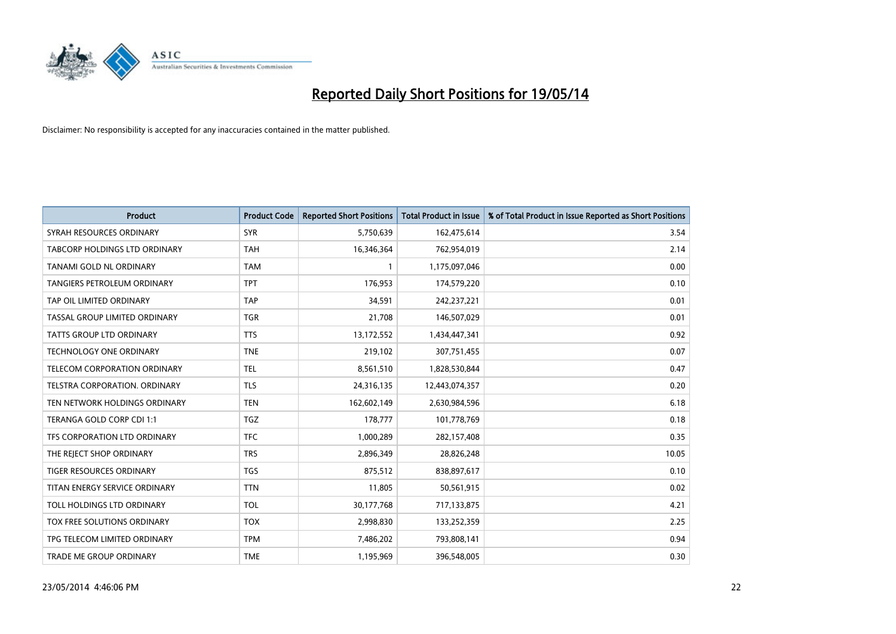

| <b>Product</b>                  | <b>Product Code</b> | <b>Reported Short Positions</b> | <b>Total Product in Issue</b> | % of Total Product in Issue Reported as Short Positions |
|---------------------------------|---------------------|---------------------------------|-------------------------------|---------------------------------------------------------|
| SYRAH RESOURCES ORDINARY        | <b>SYR</b>          | 5,750,639                       | 162,475,614                   | 3.54                                                    |
| TABCORP HOLDINGS LTD ORDINARY   | TAH                 | 16,346,364                      | 762,954,019                   | 2.14                                                    |
| TANAMI GOLD NL ORDINARY         | <b>TAM</b>          | 1                               | 1,175,097,046                 | 0.00                                                    |
| TANGIERS PETROLEUM ORDINARY     | <b>TPT</b>          | 176,953                         | 174,579,220                   | 0.10                                                    |
| TAP OIL LIMITED ORDINARY        | <b>TAP</b>          | 34,591                          | 242,237,221                   | 0.01                                                    |
| TASSAL GROUP LIMITED ORDINARY   | <b>TGR</b>          | 21,708                          | 146,507,029                   | 0.01                                                    |
| <b>TATTS GROUP LTD ORDINARY</b> | <b>TTS</b>          | 13,172,552                      | 1,434,447,341                 | 0.92                                                    |
| TECHNOLOGY ONE ORDINARY         | <b>TNE</b>          | 219,102                         | 307,751,455                   | 0.07                                                    |
| TELECOM CORPORATION ORDINARY    | <b>TEL</b>          | 8,561,510                       | 1,828,530,844                 | 0.47                                                    |
| TELSTRA CORPORATION, ORDINARY   | <b>TLS</b>          | 24,316,135                      | 12,443,074,357                | 0.20                                                    |
| TEN NETWORK HOLDINGS ORDINARY   | <b>TEN</b>          | 162,602,149                     | 2,630,984,596                 | 6.18                                                    |
| TERANGA GOLD CORP CDI 1:1       | <b>TGZ</b>          | 178,777                         | 101,778,769                   | 0.18                                                    |
| TFS CORPORATION LTD ORDINARY    | <b>TFC</b>          | 1,000,289                       | 282,157,408                   | 0.35                                                    |
| THE REJECT SHOP ORDINARY        | <b>TRS</b>          | 2,896,349                       | 28,826,248                    | 10.05                                                   |
| <b>TIGER RESOURCES ORDINARY</b> | <b>TGS</b>          | 875,512                         | 838,897,617                   | 0.10                                                    |
| TITAN ENERGY SERVICE ORDINARY   | <b>TTN</b>          | 11,805                          | 50,561,915                    | 0.02                                                    |
| TOLL HOLDINGS LTD ORDINARY      | <b>TOL</b>          | 30,177,768                      | 717,133,875                   | 4.21                                                    |
| TOX FREE SOLUTIONS ORDINARY     | <b>TOX</b>          | 2,998,830                       | 133,252,359                   | 2.25                                                    |
| TPG TELECOM LIMITED ORDINARY    | <b>TPM</b>          | 7,486,202                       | 793,808,141                   | 0.94                                                    |
| TRADE ME GROUP ORDINARY         | <b>TME</b>          | 1,195,969                       | 396,548,005                   | 0.30                                                    |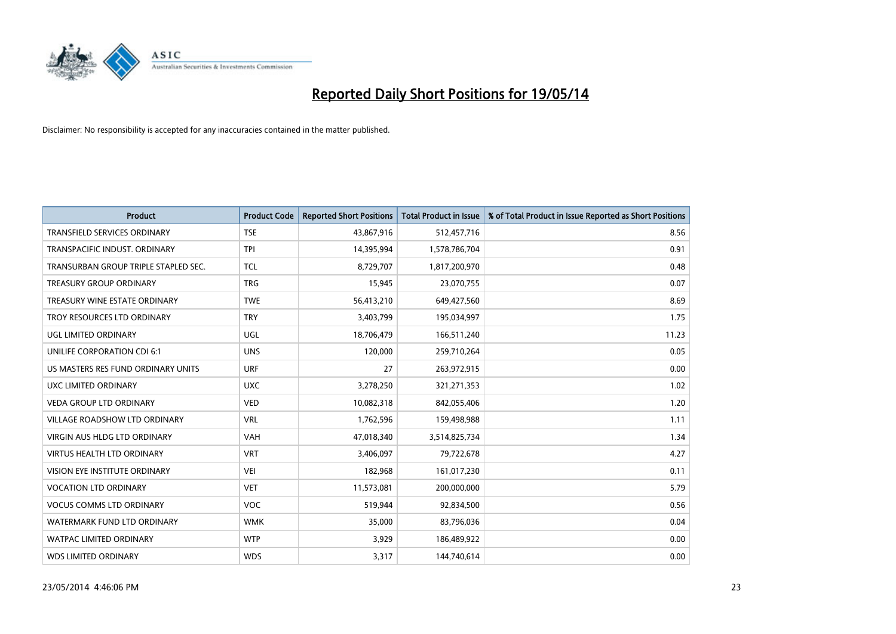

| Product                              | <b>Product Code</b> | <b>Reported Short Positions</b> | <b>Total Product in Issue</b> | % of Total Product in Issue Reported as Short Positions |
|--------------------------------------|---------------------|---------------------------------|-------------------------------|---------------------------------------------------------|
| <b>TRANSFIELD SERVICES ORDINARY</b>  | <b>TSE</b>          | 43,867,916                      | 512,457,716                   | 8.56                                                    |
| TRANSPACIFIC INDUST. ORDINARY        | <b>TPI</b>          | 14,395,994                      | 1,578,786,704                 | 0.91                                                    |
| TRANSURBAN GROUP TRIPLE STAPLED SEC. | <b>TCL</b>          | 8,729,707                       | 1,817,200,970                 | 0.48                                                    |
| TREASURY GROUP ORDINARY              | <b>TRG</b>          | 15,945                          | 23,070,755                    | 0.07                                                    |
| TREASURY WINE ESTATE ORDINARY        | <b>TWE</b>          | 56,413,210                      | 649,427,560                   | 8.69                                                    |
| TROY RESOURCES LTD ORDINARY          | <b>TRY</b>          | 3,403,799                       | 195,034,997                   | 1.75                                                    |
| UGL LIMITED ORDINARY                 | <b>UGL</b>          | 18,706,479                      | 166,511,240                   | 11.23                                                   |
| UNILIFE CORPORATION CDI 6:1          | <b>UNS</b>          | 120,000                         | 259,710,264                   | 0.05                                                    |
| US MASTERS RES FUND ORDINARY UNITS   | <b>URF</b>          | 27                              | 263,972,915                   | 0.00                                                    |
| UXC LIMITED ORDINARY                 | <b>UXC</b>          | 3,278,250                       | 321,271,353                   | 1.02                                                    |
| VEDA GROUP LTD ORDINARY              | <b>VED</b>          | 10,082,318                      | 842,055,406                   | 1.20                                                    |
| <b>VILLAGE ROADSHOW LTD ORDINARY</b> | <b>VRL</b>          | 1,762,596                       | 159,498,988                   | 1.11                                                    |
| VIRGIN AUS HLDG LTD ORDINARY         | <b>VAH</b>          | 47,018,340                      | 3,514,825,734                 | 1.34                                                    |
| VIRTUS HEALTH LTD ORDINARY           | <b>VRT</b>          | 3,406,097                       | 79,722,678                    | 4.27                                                    |
| VISION EYE INSTITUTE ORDINARY        | <b>VEI</b>          | 182,968                         | 161,017,230                   | 0.11                                                    |
| <b>VOCATION LTD ORDINARY</b>         | <b>VET</b>          | 11,573,081                      | 200,000,000                   | 5.79                                                    |
| <b>VOCUS COMMS LTD ORDINARY</b>      | <b>VOC</b>          | 519,944                         | 92,834,500                    | 0.56                                                    |
| WATERMARK FUND LTD ORDINARY          | <b>WMK</b>          | 35,000                          | 83,796,036                    | 0.04                                                    |
| <b>WATPAC LIMITED ORDINARY</b>       | <b>WTP</b>          | 3,929                           | 186,489,922                   | 0.00                                                    |
| <b>WDS LIMITED ORDINARY</b>          | <b>WDS</b>          | 3,317                           | 144,740,614                   | 0.00                                                    |